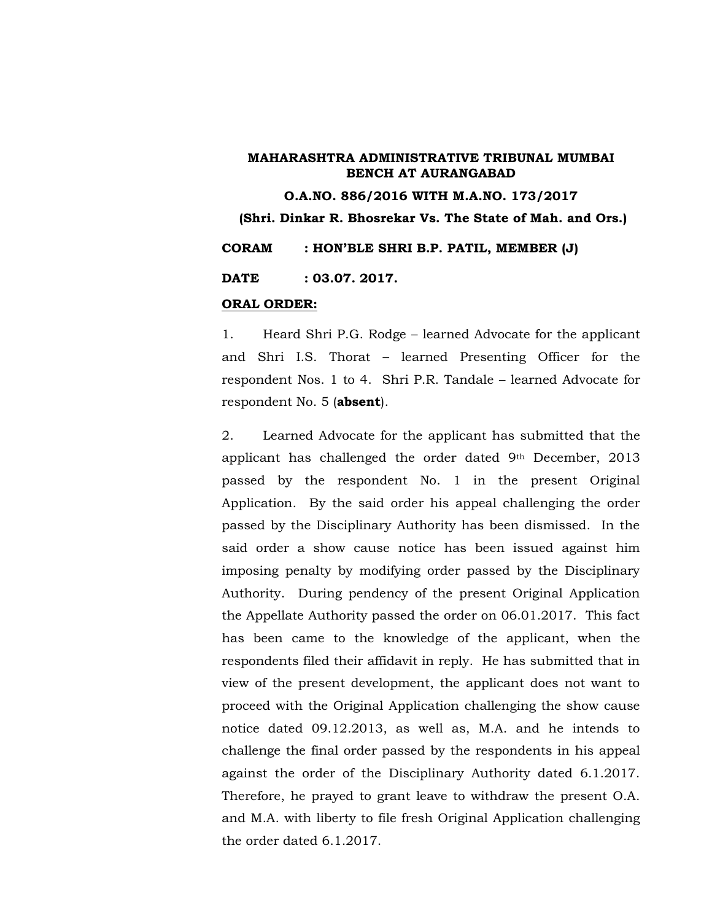**O.A.NO. 886/2016 WITH M.A.NO. 173/2017 (Shri. Dinkar R. Bhosrekar Vs. The State of Mah. and Ors.) CORAM : HON'BLE SHRI B.P. PATIL, MEMBER (J) DATE : 03.07. 2017.**

#### **ORAL ORDER:**

1. Heard Shri P.G. Rodge – learned Advocate for the applicant and Shri I.S. Thorat – learned Presenting Officer for the respondent Nos. 1 to 4. Shri P.R. Tandale – learned Advocate for respondent No. 5 (**absent**).

2. Learned Advocate for the applicant has submitted that the applicant has challenged the order dated 9th December, 2013 passed by the respondent No. 1 in the present Original Application. By the said order his appeal challenging the order passed by the Disciplinary Authority has been dismissed. In the said order a show cause notice has been issued against him imposing penalty by modifying order passed by the Disciplinary Authority. During pendency of the present Original Application the Appellate Authority passed the order on 06.01.2017. This fact has been came to the knowledge of the applicant, when the respondents filed their affidavit in reply. He has submitted that in view of the present development, the applicant does not want to proceed with the Original Application challenging the show cause notice dated 09.12.2013, as well as, M.A. and he intends to challenge the final order passed by the respondents in his appeal against the order of the Disciplinary Authority dated 6.1.2017. Therefore, he prayed to grant leave to withdraw the present O.A. and M.A. with liberty to file fresh Original Application challenging the order dated 6.1.2017.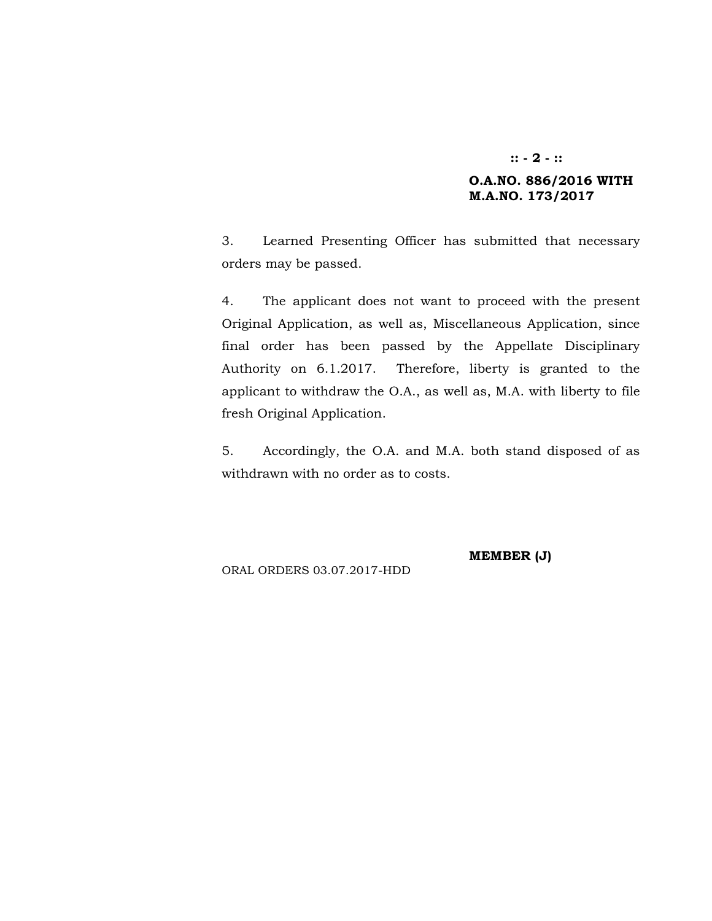## **:: - 2 - :: O.A.NO. 886/2016 WITH M.A.NO. 173/2017**

3. Learned Presenting Officer has submitted that necessary orders may be passed.

4. The applicant does not want to proceed with the present Original Application, as well as, Miscellaneous Application, since final order has been passed by the Appellate Disciplinary Authority on 6.1.2017. Therefore, liberty is granted to the applicant to withdraw the O.A., as well as, M.A. with liberty to file fresh Original Application.

5. Accordingly, the O.A. and M.A. both stand disposed of as withdrawn with no order as to costs.

**MEMBER (J)**

ORAL ORDERS 03.07.2017-HDD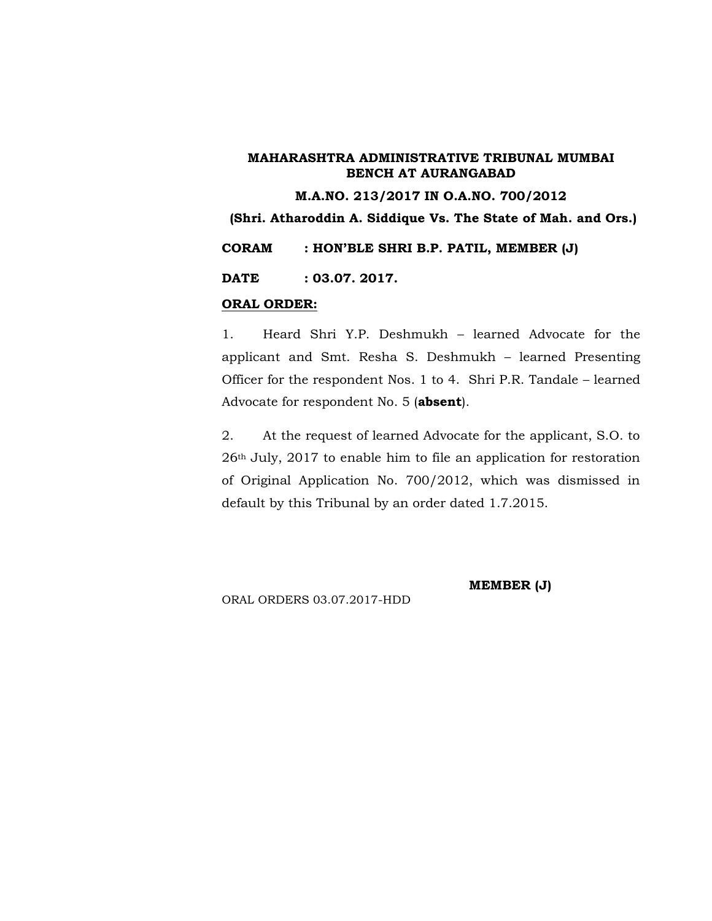**M.A.NO. 213/2017 IN O.A.NO. 700/2012**

**(Shri. Atharoddin A. Siddique Vs. The State of Mah. and Ors.)**

**CORAM : HON'BLE SHRI B.P. PATIL, MEMBER (J)**

**DATE : 03.07. 2017.**

#### **ORAL ORDER:**

1. Heard Shri Y.P. Deshmukh – learned Advocate for the applicant and Smt. Resha S. Deshmukh – learned Presenting Officer for the respondent Nos. 1 to 4. Shri P.R. Tandale – learned Advocate for respondent No. 5 (**absent**).

2. At the request of learned Advocate for the applicant, S.O. to 26th July, 2017 to enable him to file an application for restoration of Original Application No. 700/2012, which was dismissed in default by this Tribunal by an order dated 1.7.2015.

ORAL ORDERS 03.07.2017-HDD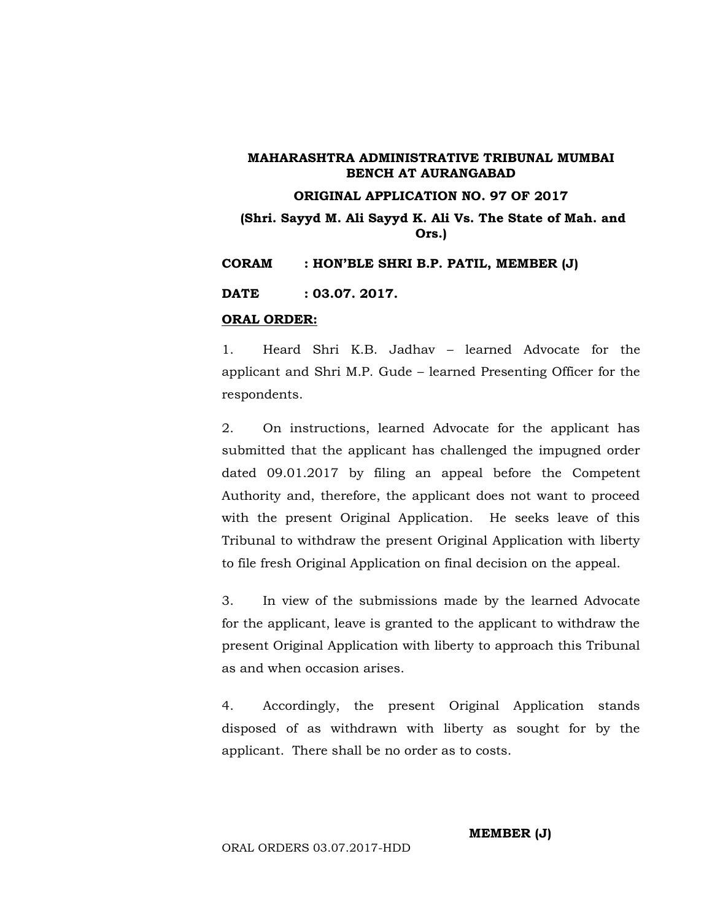#### **ORIGINAL APPLICATION NO. 97 OF 2017**

**(Shri. Sayyd M. Ali Sayyd K. Ali Vs. The State of Mah. and Ors.)**

**CORAM : HON'BLE SHRI B.P. PATIL, MEMBER (J)**

**DATE : 03.07. 2017.**

#### **ORAL ORDER:**

1. Heard Shri K.B. Jadhav – learned Advocate for the applicant and Shri M.P. Gude – learned Presenting Officer for the respondents.

2. On instructions, learned Advocate for the applicant has submitted that the applicant has challenged the impugned order dated 09.01.2017 by filing an appeal before the Competent Authority and, therefore, the applicant does not want to proceed with the present Original Application. He seeks leave of this Tribunal to withdraw the present Original Application with liberty to file fresh Original Application on final decision on the appeal.

3. In view of the submissions made by the learned Advocate for the applicant, leave is granted to the applicant to withdraw the present Original Application with liberty to approach this Tribunal as and when occasion arises.

4. Accordingly, the present Original Application stands disposed of as withdrawn with liberty as sought for by the applicant. There shall be no order as to costs.

#### **MEMBER (J)**

#### ORAL ORDERS 03.07.2017-HDD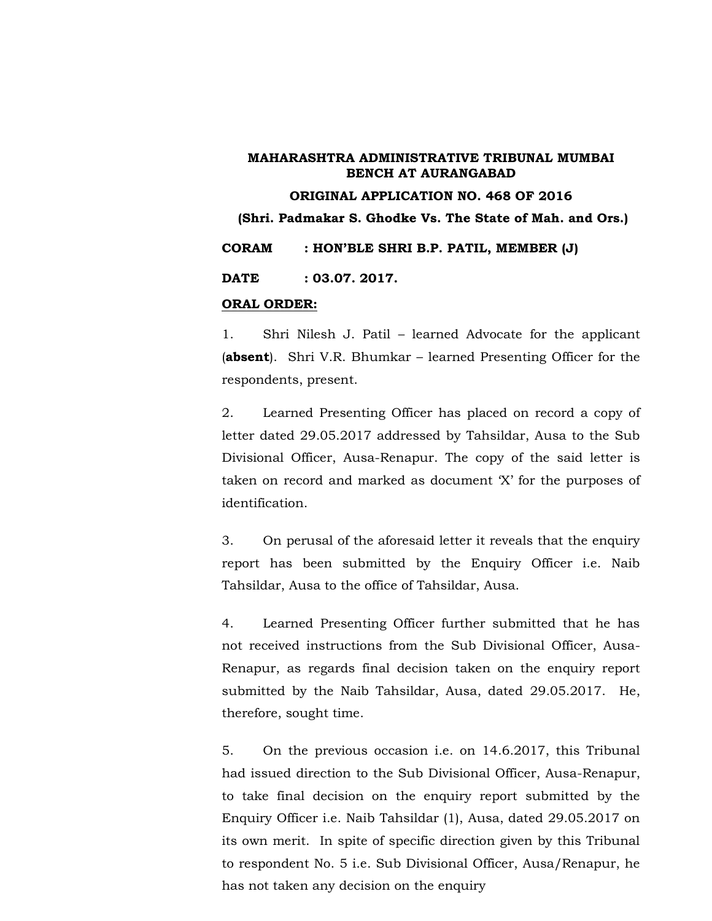#### **ORIGINAL APPLICATION NO. 468 OF 2016**

**(Shri. Padmakar S. Ghodke Vs. The State of Mah. and Ors.)**

**CORAM : HON'BLE SHRI B.P. PATIL, MEMBER (J)**

**DATE : 03.07. 2017.**

#### **ORAL ORDER:**

1. Shri Nilesh J. Patil – learned Advocate for the applicant (**absent**). Shri V.R. Bhumkar – learned Presenting Officer for the respondents, present.

2. Learned Presenting Officer has placed on record a copy of letter dated 29.05.2017 addressed by Tahsildar, Ausa to the Sub Divisional Officer, Ausa-Renapur. The copy of the said letter is taken on record and marked as document 'X' for the purposes of identification.

3. On perusal of the aforesaid letter it reveals that the enquiry report has been submitted by the Enquiry Officer i.e. Naib Tahsildar, Ausa to the office of Tahsildar, Ausa.

4. Learned Presenting Officer further submitted that he has not received instructions from the Sub Divisional Officer, Ausa- Renapur, as regards final decision taken on the enquiry report submitted by the Naib Tahsildar, Ausa, dated 29.05.2017. He, therefore, sought time.

5. On the previous occasion i.e. on 14.6.2017, this Tribunal had issued direction to the Sub Divisional Officer, Ausa-Renapur, to take final decision on the enquiry report submitted by the Enquiry Officer i.e. Naib Tahsildar (1), Ausa, dated 29.05.2017 on its own merit. In spite of specific direction given by this Tribunal to respondent No. 5 i.e. Sub Divisional Officer, Ausa/Renapur, he has not taken any decision on the enquiry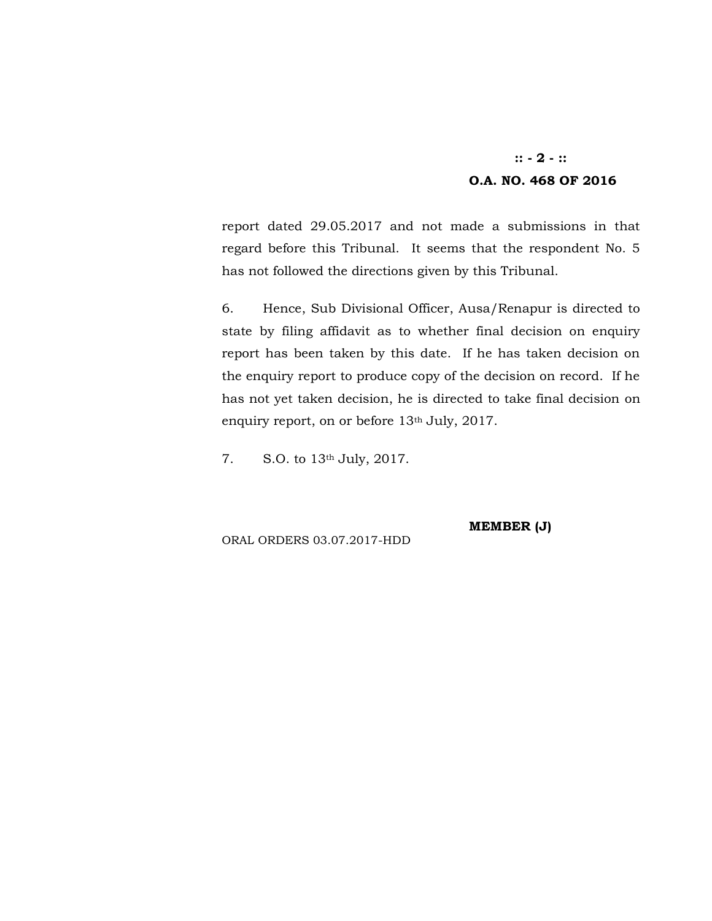## **:: - 2 - :: O.A. NO. 468 OF 2016**

report dated 29.05.2017 and not made a submissions in that regard before this Tribunal. It seems that the respondent No. 5 has not followed the directions given by this Tribunal.

6. Hence, Sub Divisional Officer, Ausa/Renapur is directed to state by filing affidavit as to whether final decision on enquiry report has been taken by this date. If he has taken decision on the enquiry report to produce copy of the decision on record. If he has not yet taken decision, he is directed to take final decision on enquiry report, on or before 13<sup>th</sup> July, 2017.

7. S.O. to 13th July, 2017.

**MEMBER (J)**

ORAL ORDERS 03.07.2017-HDD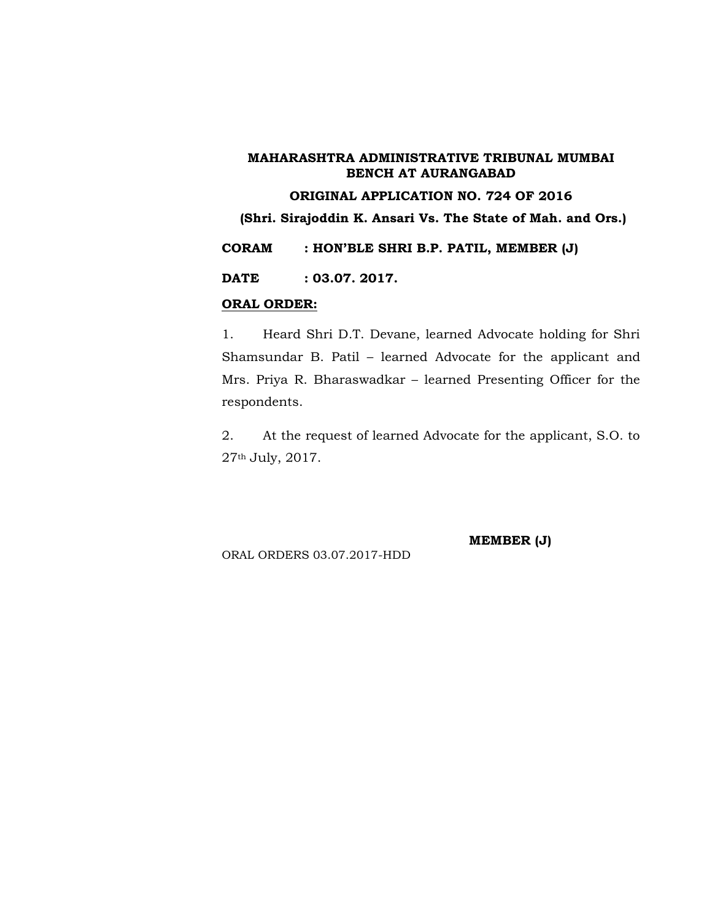## **ORIGINAL APPLICATION NO. 724 OF 2016**

**(Shri. Sirajoddin K. Ansari Vs. The State of Mah. and Ors.)**

**CORAM : HON'BLE SHRI B.P. PATIL, MEMBER (J)**

**DATE : 03.07. 2017.**

#### **ORAL ORDER:**

1. Heard Shri D.T. Devane, learned Advocate holding for Shri Shamsundar B. Patil – learned Advocate for the applicant and Mrs. Priya R. Bharaswadkar – learned Presenting Officer for the respondents.

2. At the request of learned Advocate for the applicant, S.O. to 27th July, 2017.

ORAL ORDERS 03.07.2017-HDD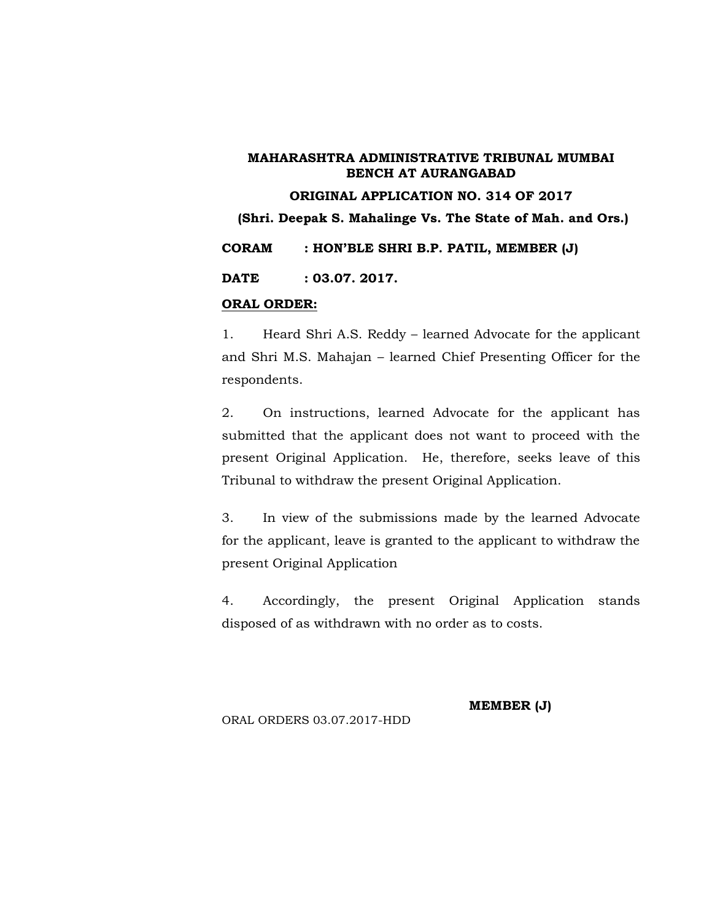#### **ORIGINAL APPLICATION NO. 314 OF 2017**

**(Shri. Deepak S. Mahalinge Vs. The State of Mah. and Ors.)**

**CORAM : HON'BLE SHRI B.P. PATIL, MEMBER (J)**

**DATE : 03.07. 2017.**

#### **ORAL ORDER:**

1. Heard Shri A.S. Reddy – learned Advocate for the applicant and Shri M.S. Mahajan – learned Chief Presenting Officer for the respondents.

2. On instructions, learned Advocate for the applicant has submitted that the applicant does not want to proceed with the present Original Application. He, therefore, seeks leave of this Tribunal to withdraw the present Original Application.

3. In view of the submissions made by the learned Advocate for the applicant, leave is granted to the applicant to withdraw the present Original Application

4. Accordingly, the present Original Application stands disposed of as withdrawn with no order as to costs.

**MEMBER (J)**

ORAL ORDERS 03.07.2017-HDD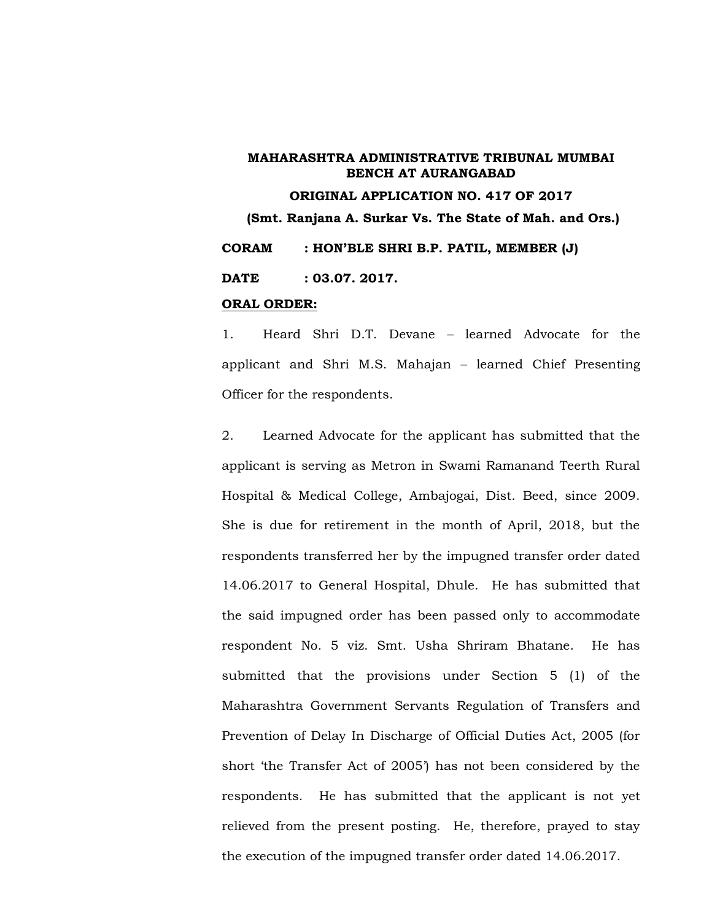# **ORIGINAL APPLICATION NO. 417 OF 2017 (Smt. Ranjana A. Surkar Vs. The State of Mah. and Ors.) CORAM : HON'BLE SHRI B.P. PATIL, MEMBER (J) DATE : 03.07. 2017.**

#### **ORAL ORDER:**

1. Heard Shri D.T. Devane – learned Advocate for the applicant and Shri M.S. Mahajan - learned Chief Presenting Officer for the respondents.

2. Learned Advocate for the applicant has submitted that the applicant is serving as Metron in Swami Ramanand Teerth Rural Hospital & Medical College, Ambajogai, Dist. Beed, since 2009. She is due for retirement in the month of April, 2018, but the respondents transferred her by the impugned transfer order dated 14.06.2017 to General Hospital, Dhule. He has submitted that the said impugned order has been passed only to accommodate respondent No. 5 viz. Smt. Usha Shriram Bhatane. He has submitted that the provisions under Section 5 (1) of the Maharashtra Government Servants Regulation of Transfers and Prevention of Delay In Discharge of Official Duties Act, 2005 (for short 'the Transfer Act of 2005') has not been considered by the respondents. He has submitted that the applicant is not yet relieved from the present posting. He, therefore, prayed to stay the execution of the impugned transfer order dated 14.06.2017.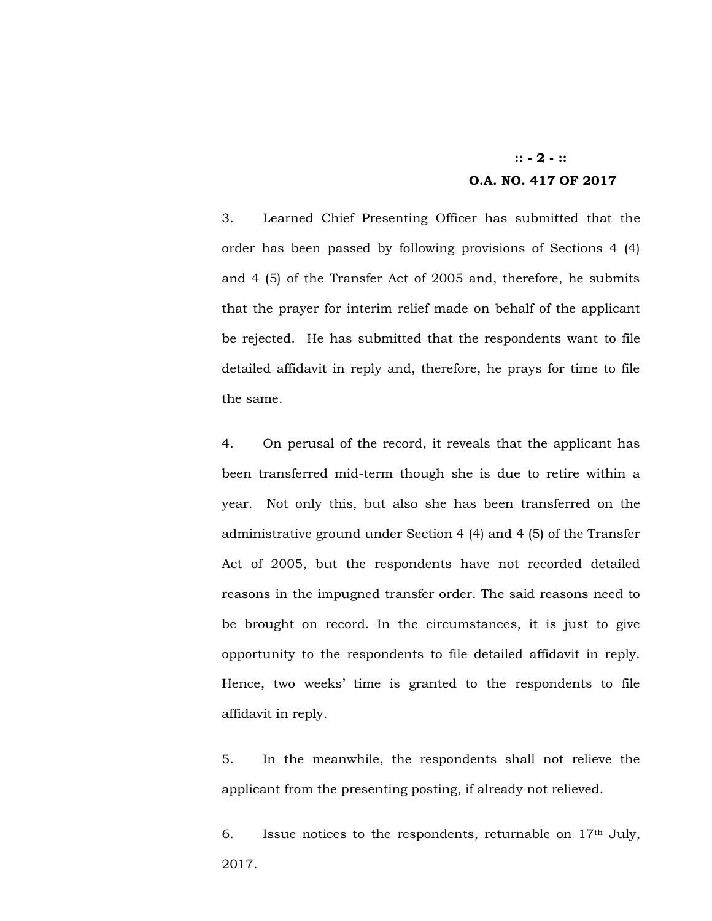## **:: - 2 - :: O.A. NO. 417 OF 2017**

3. Learned Chief Presenting Officer has submitted that the order has been passed by following provisions of Sections 4 (4) and 4 (5) of the Transfer Act of 2005 and, therefore, he submits that the prayer for interim relief made on behalf of the applicant be rejected. He has submitted that the respondents want to file detailed affidavit in reply and, therefore, he prays for time to file the same.

4. On perusal of the record, it reveals that the applicant has been transferred mid-term though she is due to retire within a year. Not only this, but also she has been transferred on the administrative ground under Section 4 (4) and 4 (5) of the Transfer Act of 2005, but the respondents have not recorded detailed reasons in the impugned transfer order. The said reasons need to be brought on record. In the circumstances, it is just to give opportunity to the respondents to file detailed affidavit in reply. Hence, two weeks' time is granted to the respondents to file affidavit in reply.

5. In the meanwhile, the respondents shall not relieve the applicant from the presenting posting, if already not relieved.

6. Issue notices to the respondents, returnable on  $17<sup>th</sup>$  July, 2017.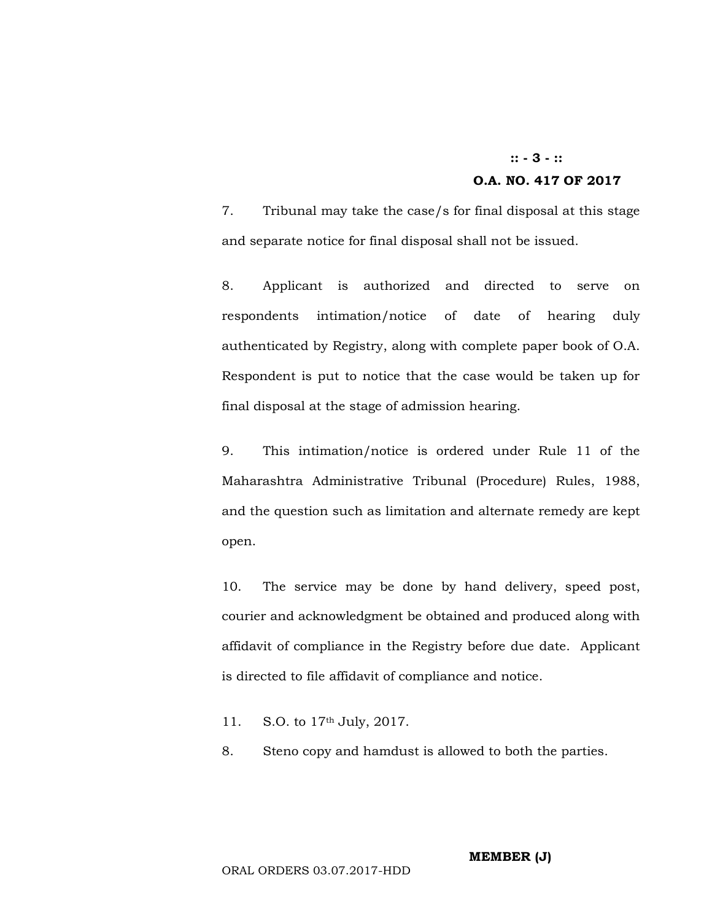## **:: - 3 - :: O.A. NO. 417 OF 2017**

7. Tribunal may take the case/s for final disposal at this stage and separate notice for final disposal shall not be issued.

8. Applicant is authorized and directed to serve on respondents intimation/notice of date of hearing duly authenticated by Registry, along with complete paper book of O.A. Respondent is put to notice that the case would be taken up for final disposal at the stage of admission hearing.

9. This intimation/notice is ordered under Rule 11 of the Maharashtra Administrative Tribunal (Procedure) Rules, 1988, and the question such as limitation and alternate remedy are kept open.

10. The service may be done by hand delivery, speed post, courier and acknowledgment be obtained and produced along with affidavit of compliance in the Registry before due date. Applicant is directed to file affidavit of compliance and notice.

- 11. S.O. to 17th July, 2017.
- 8. Steno copy and hamdust is allowed to both the parties.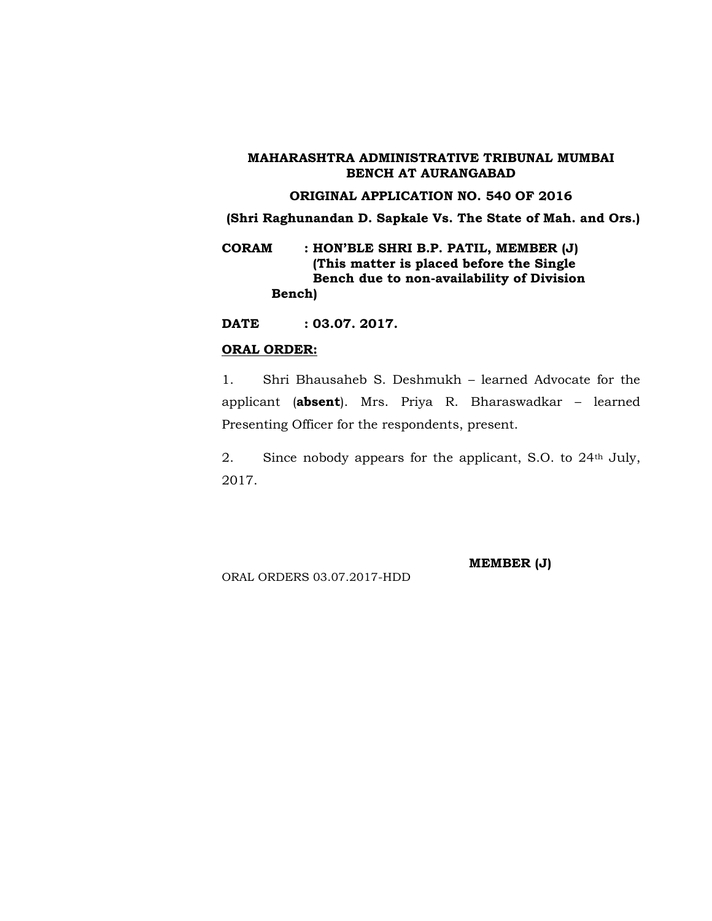#### **ORIGINAL APPLICATION NO. 540 OF 2016**

**(Shri Raghunandan D. Sapkale Vs. The State of Mah. and Ors.)**

**CORAM : HON'BLE SHRI B.P. PATIL, MEMBER (J) (This matter is placed before the Single Bench due to non-availability of Division Bench)**

**DATE : 03.07. 2017.**

#### **ORAL ORDER:**

1. Shri Bhausaheb S. Deshmukh – learned Advocate for the applicant (**absent**). Mrs. Priya R. Bharaswadkar – learned Presenting Officer for the respondents, present.

2. Since nobody appears for the applicant, S.O. to 24<sup>th</sup> July, 2017.

ORAL ORDERS 03.07.2017-HDD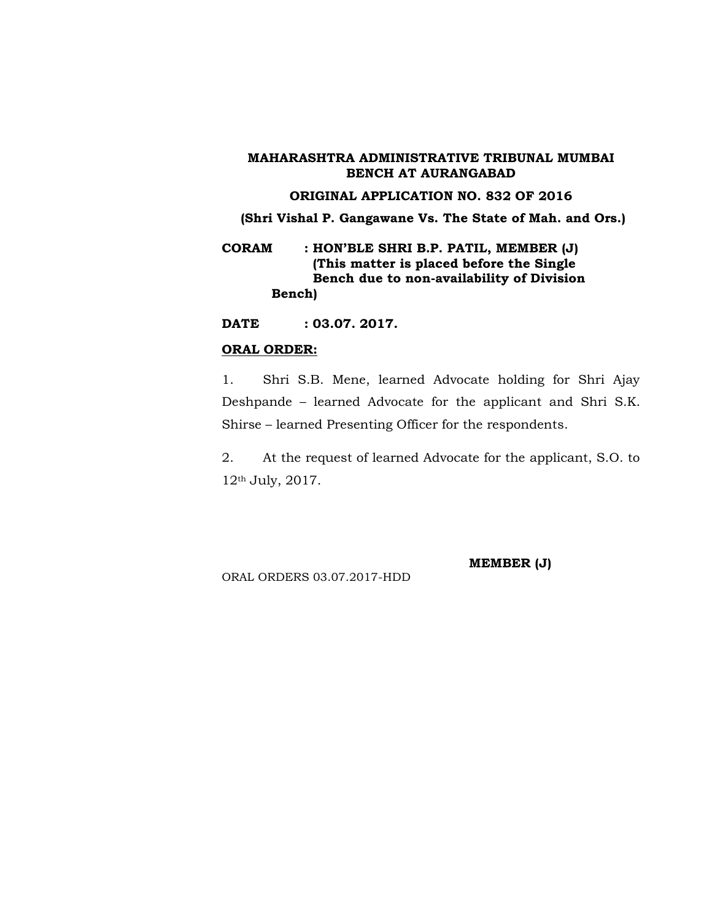#### **ORIGINAL APPLICATION NO. 832 OF 2016**

**(Shri Vishal P. Gangawane Vs. The State of Mah. and Ors.)**

**CORAM : HON'BLE SHRI B.P. PATIL, MEMBER (J) (This matter is placed before the Single Bench due to non-availability of Division Bench)**

**DATE : 03.07. 2017.**

#### **ORAL ORDER:**

1. Shri S.B. Mene, learned Advocate holding for Shri Ajay Deshpande – learned Advocate for the applicant and Shri S.K. Shirse – learned Presenting Officer for the respondents.

2. At the request of learned Advocate for the applicant, S.O. to 12th July, 2017.

ORAL ORDERS 03.07.2017-HDD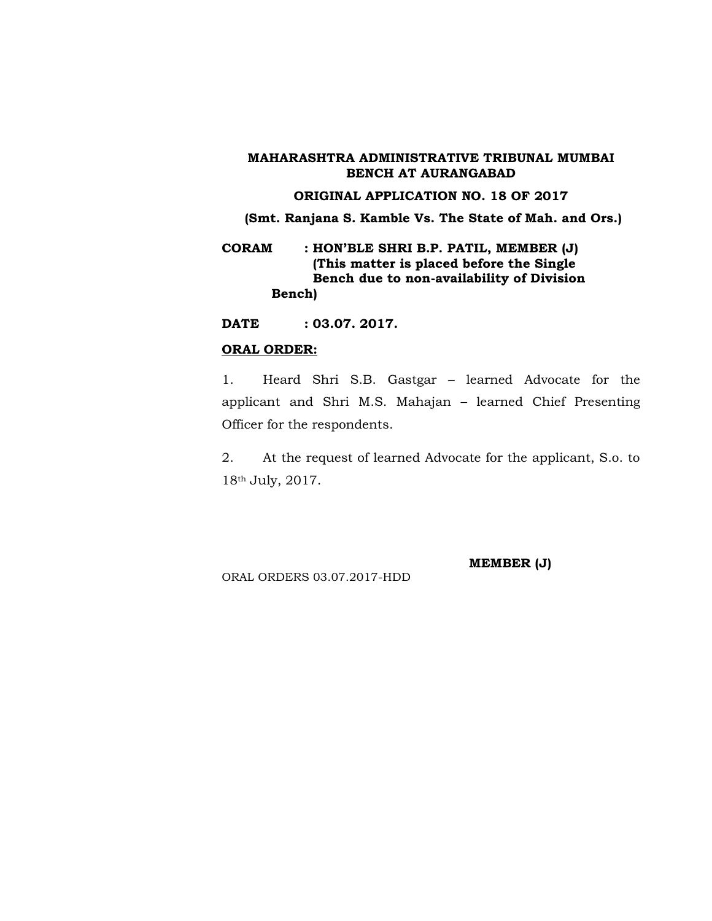#### **ORIGINAL APPLICATION NO. 18 OF 2017**

**(Smt. Ranjana S. Kamble Vs. The State of Mah. and Ors.)**

**CORAM : HON'BLE SHRI B.P. PATIL, MEMBER (J) (This matter is placed before the Single Bench due to non-availability of Division Bench)**

**DATE : 03.07. 2017.**

#### **ORAL ORDER:**

1. Heard Shri S.B. Gastgar – learned Advocate for the applicant and Shri M.S. Mahajan - learned Chief Presenting Officer for the respondents.

2. At the request of learned Advocate for the applicant, S.o. to 18th July, 2017.

ORAL ORDERS 03.07.2017-HDD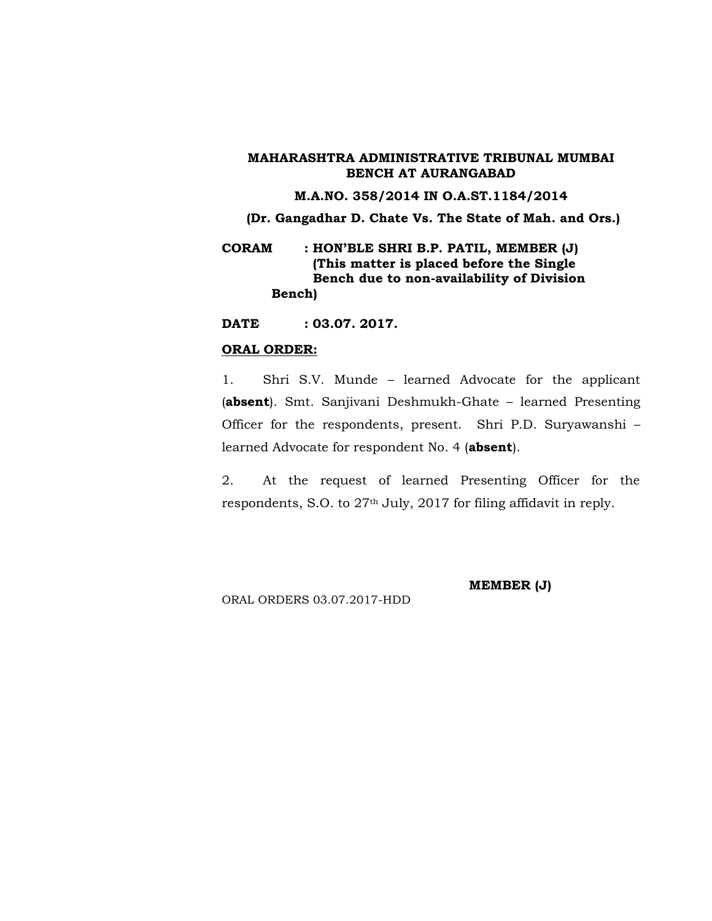### **M.A.NO. 358/2014 IN O.A.ST.1184/2014**

**(Dr. Gangadhar D. Chate Vs. The State of Mah. and Ors.)**

**CORAM : HON'BLE SHRI B.P. PATIL, MEMBER (J) (This matter is placed before the Single Bench due to non-availability of Division Bench)**

**DATE : 03.07. 2017.**

#### **ORAL ORDER:**

1. Shri S.V. Munde – learned Advocate for the applicant (**absent**). Smt. Sanjivani Deshmukh-Ghate – learned Presenting Officer for the respondents, present. Shri P.D. Suryawanshi – learned Advocate for respondent No. 4 (**absent**).

2. At the request of learned Presenting Officer for the respondents, S.O. to 27th July, 2017 for filing affidavit in reply.

ORAL ORDERS 03.07.2017-HDD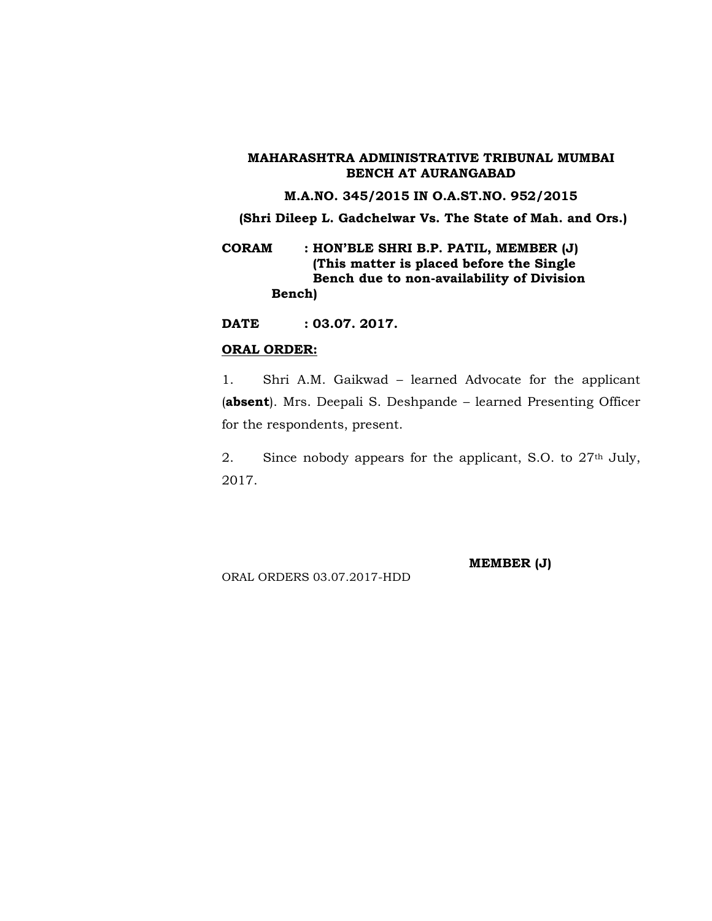### **M.A.NO. 345/2015 IN O.A.ST.NO. 952/2015**

**(Shri Dileep L. Gadchelwar Vs. The State of Mah. and Ors.)**

**CORAM : HON'BLE SHRI B.P. PATIL, MEMBER (J) (This matter is placed before the Single Bench due to non-availability of Division Bench)**

**DATE : 03.07. 2017.**

#### **ORAL ORDER:**

1. Shri A.M. Gaikwad – learned Advocate for the applicant (**absent**). Mrs. Deepali S. Deshpande – learned Presenting Officer for the respondents, present.

2. Since nobody appears for the applicant, S.O. to 27<sup>th</sup> July, 2017.

ORAL ORDERS 03.07.2017-HDD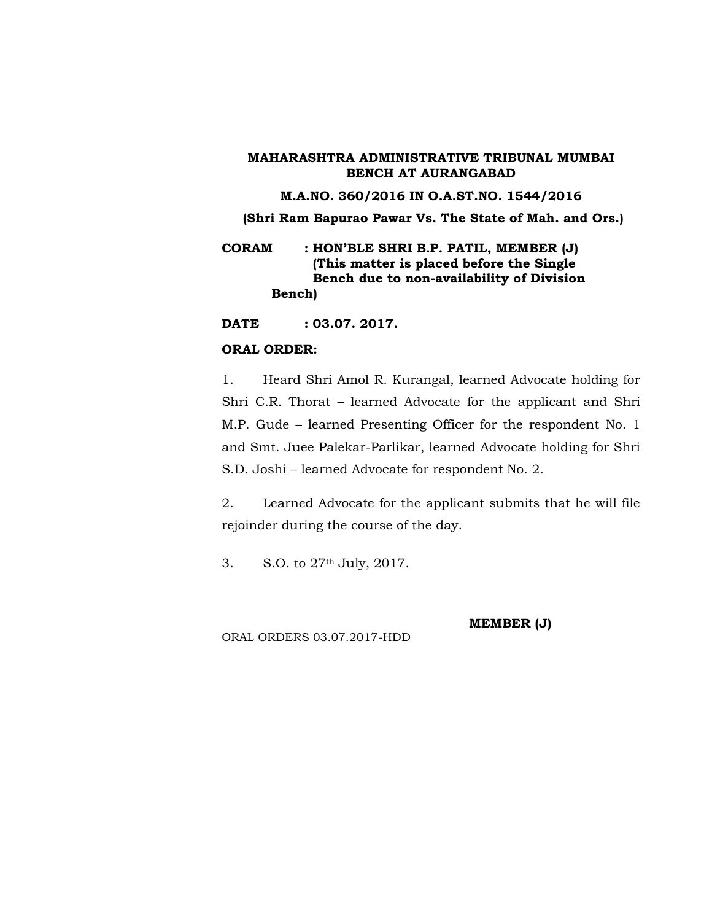#### **M.A.NO. 360/2016 IN O.A.ST.NO. 1544/2016**

**(Shri Ram Bapurao Pawar Vs. The State of Mah. and Ors.)**

**CORAM : HON'BLE SHRI B.P. PATIL, MEMBER (J) (This matter is placed before the Single Bench due to non-availability of Division Bench)**

**DATE : 03.07. 2017.**

## **ORAL ORDER:**

1. Heard Shri Amol R. Kurangal, learned Advocate holding for Shri C.R. Thorat – learned Advocate for the applicant and Shri M.P. Gude – learned Presenting Officer for the respondent No. 1 and Smt. Juee Palekar-Parlikar, learned Advocate holding for Shri S.D. Joshi – learned Advocate for respondent No. 2.

2. Learned Advocate for the applicant submits that he will file rejoinder during the course of the day.

3. S.O. to 27th July, 2017.

ORAL ORDERS 03.07.2017-HDD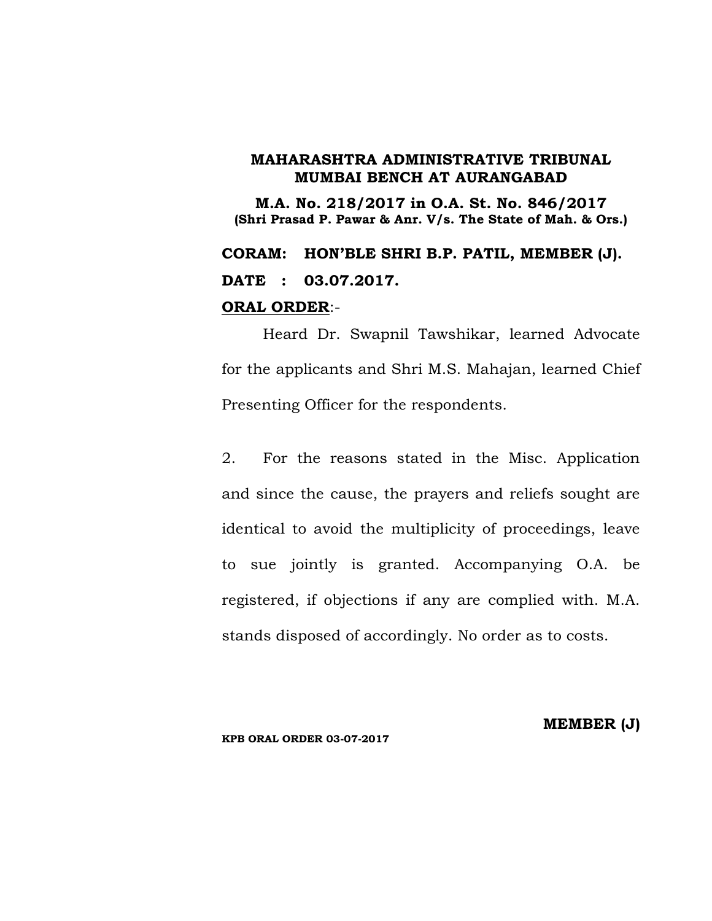**M.A. No. 218/2017 in O.A. St. No. 846/2017 (Shri Prasad P. Pawar & Anr. V/s. The State of Mah. & Ors.)**

**CORAM: HON'BLE SHRI B.P. PATIL, MEMBER (J). DATE : 03.07.2017.**

## **ORAL ORDER**:-

Heard Dr. Swapnil Tawshikar, learned Advocate for the applicants and Shri M.S. Mahajan, learned Chief Presenting Officer for the respondents.

2. For the reasons stated in the Misc. Application and since the cause, the prayers and reliefs sought are identical to avoid the multiplicity of proceedings, leave to sue jointly is granted. Accompanying O.A. be registered, if objections if any are complied with. M.A. stands disposed of accordingly. No order as to costs.

#### **KPB ORAL ORDER 03-07-2017**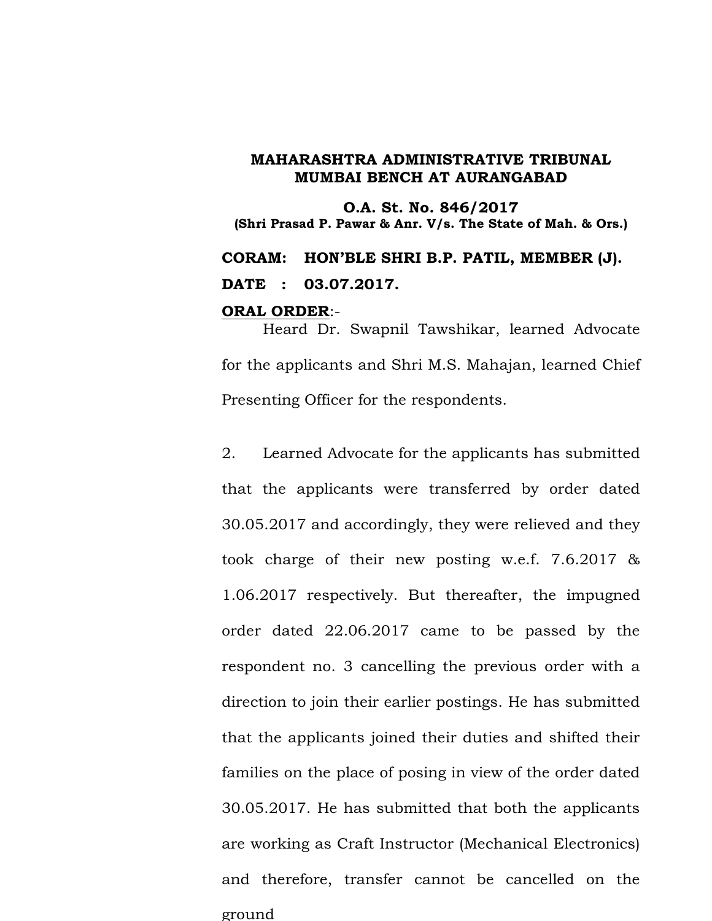**O.A. St. No. 846/2017 (Shri Prasad P. Pawar & Anr. V/s. The State of Mah. & Ors.) CORAM: HON'BLE SHRI B.P. PATIL, MEMBER (J). DATE : 03.07.2017.**

#### **ORAL ORDER**:-

Heard Dr. Swapnil Tawshikar, learned Advocate for the applicants and Shri M.S. Mahajan, learned Chief Presenting Officer for the respondents.

2. Learned Advocate for the applicants has submitted that the applicants were transferred by order dated 30.05.2017 and accordingly, they were relieved and they took charge of their new posting w.e.f. 7.6.2017 & 1.06.2017 respectively. But thereafter, the impugned order dated 22.06.2017 came to be passed by the respondent no. 3 cancelling the previous order with a direction to join their earlier postings. He has submitted that the applicants joined their duties and shifted their families on the place of posing in view of the order dated 30.05.2017. He has submitted that both the applicants are working as Craft Instructor (Mechanical Electronics) and therefore, transfer cannot be cancelled on the ground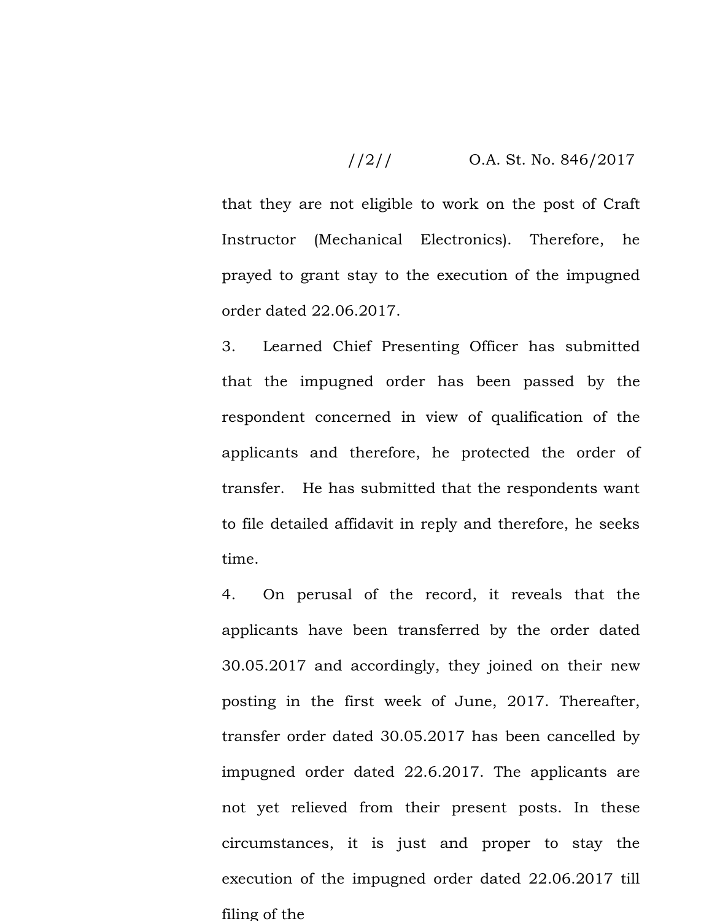$$
1/2/1
$$
 O.A. St. No. 846/2017

that they are not eligible to work on the post of Craft Instructor (Mechanical Electronics). Therefore, he prayed to grant stay to the execution of the impugned order dated 22.06.2017.

3. Learned Chief Presenting Officer has submitted that the impugned order has been passed by the respondent concerned in view of qualification of the applicants and therefore, he protected the order of transfer. He has submitted that the respondents want to file detailed affidavit in reply and therefore, he seeks time.

4. On perusal of the record, it reveals that the applicants have been transferred by the order dated 30.05.2017 and accordingly, they joined on their new posting in the first week of June, 2017. Thereafter, transfer order dated 30.05.2017 has been cancelled by impugned order dated 22.6.2017. The applicants are not yet relieved from their present posts. In these circumstances, it is just and proper to stay the execution of the impugned order dated 22.06.2017 till filing of the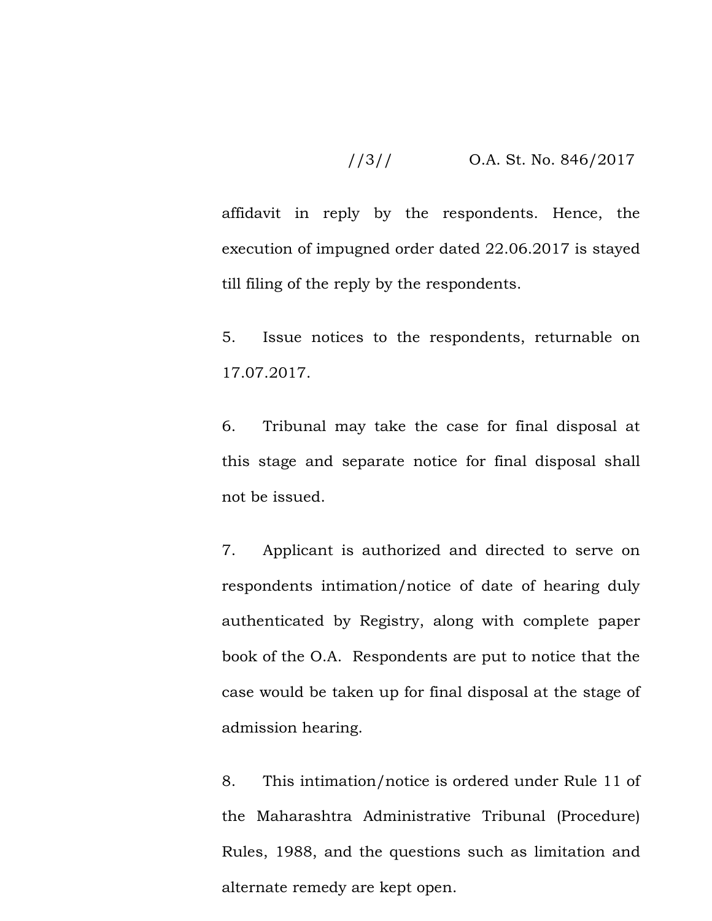## //3// O.A. St. No. 846/2017

affidavit in reply by the respondents. Hence, the execution of impugned order dated 22.06.2017 is stayed till filing of the reply by the respondents.

5. Issue notices to the respondents, returnable on 17.07.2017.

6. Tribunal may take the case for final disposal at this stage and separate notice for final disposal shall not be issued.

7. Applicant is authorized and directed to serve on respondents intimation/notice of date of hearing duly authenticated by Registry, along with complete paper book of the O.A. Respondents are put to notice that the case would be taken up for final disposal at the stage of admission hearing.

8. This intimation/notice is ordered under Rule 11 of the Maharashtra Administrative Tribunal (Procedure) Rules, 1988, and the questions such as limitation and alternate remedy are kept open.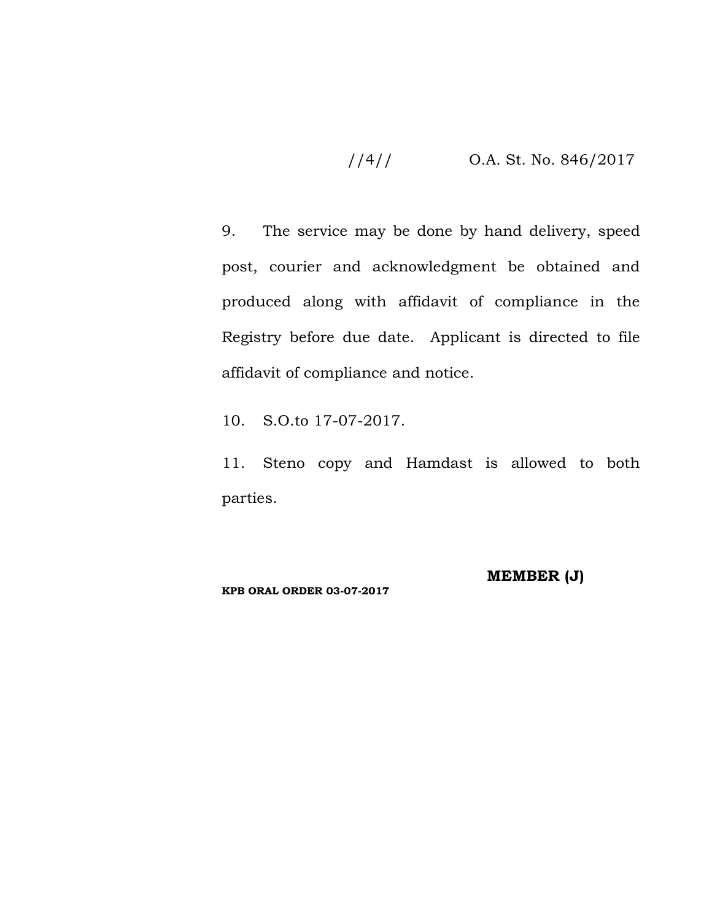## //4// O.A. St. No. 846/2017

9. The service may be done by hand delivery, speed post, courier and acknowledgment be obtained and produced along with affidavit of compliance in the Registry before due date. Applicant is directed to file affidavit of compliance and notice.

10. S.O.to 17-07-2017.

11. Steno copy and Hamdast is allowed to both parties.

**KPB ORAL ORDER 03-07-2017**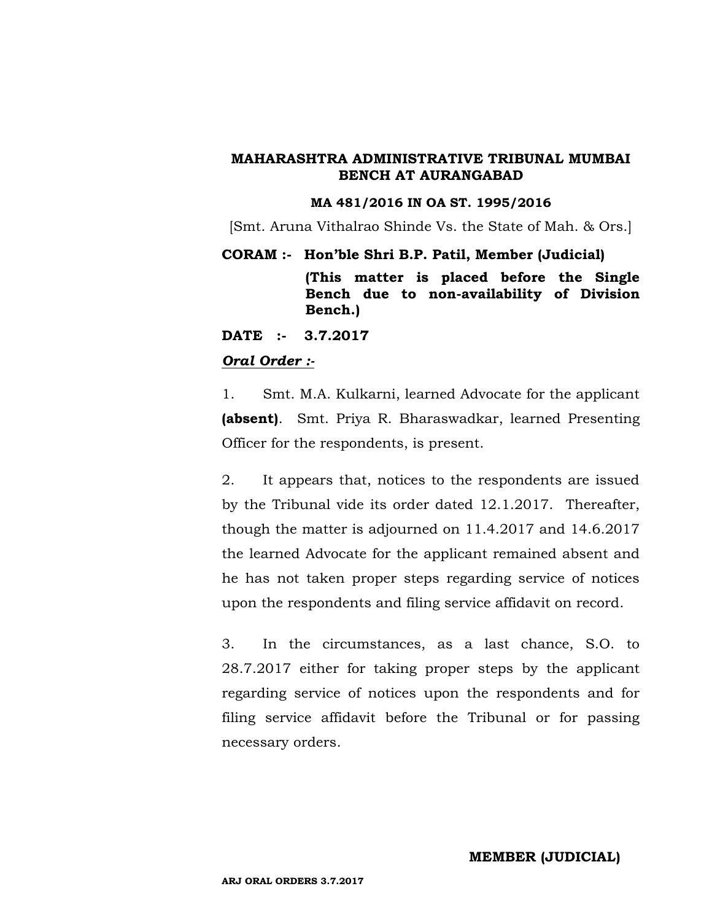#### **MA 481/2016 IN OA ST. 1995/2016**

[Smt. Aruna Vithalrao Shinde Vs. the State of Mah. & Ors.]

#### **CORAM :- Hon'ble Shri B.P. Patil, Member (Judicial)**

**(This matter is placed before the Single Bench due to non-availability of Division Bench.)**

**DATE :- 3.7.2017**

## *Oral Order :-*

1. Smt. M.A. Kulkarni, learned Advocate for the applicant **(absent)**. Smt. Priya R. Bharaswadkar, learned Presenting Officer for the respondents, is present.

2. It appears that, notices to the respondents are issued by the Tribunal vide its order dated 12.1.2017. Thereafter, though the matter is adjourned on 11.4.2017 and 14.6.2017 the learned Advocate for the applicant remained absent and he has not taken proper steps regarding service of notices upon the respondents and filing service affidavit on record.

3. In the circumstances, as a last chance, S.O. to 28.7.2017 either for taking proper steps by the applicant regarding service of notices upon the respondents and for filing service affidavit before the Tribunal or for passing necessary orders.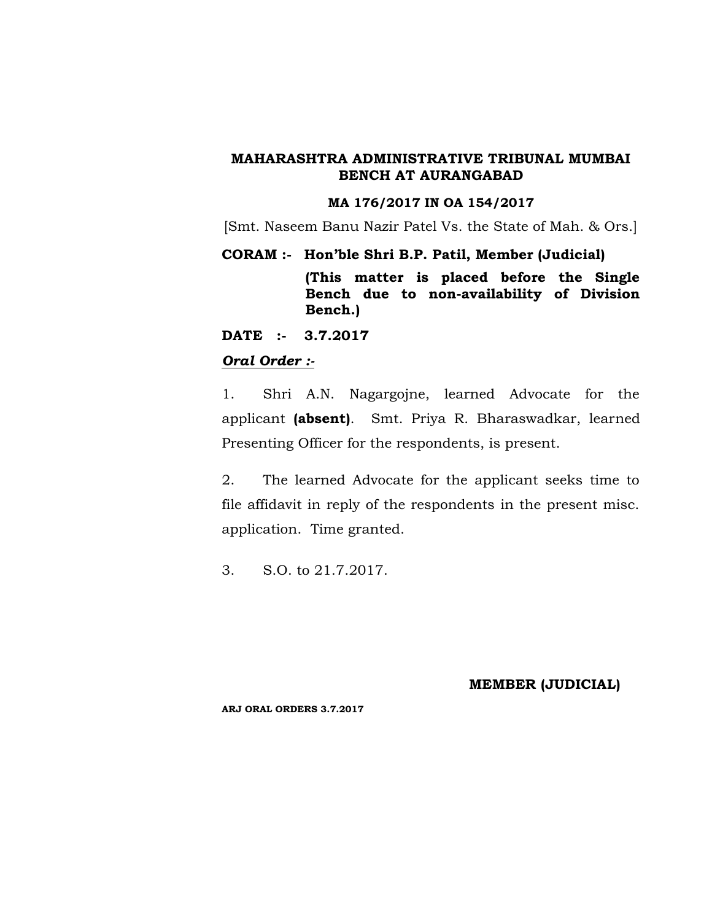#### **MA 176/2017 IN OA 154/2017**

[Smt. Naseem Banu Nazir Patel Vs. the State of Mah. & Ors.]

**CORAM :- Hon'ble Shri B.P. Patil, Member (Judicial)**

**(This matter is placed before the Single Bench due to non-availability of Division Bench.)**

**DATE :- 3.7.2017**

## *Oral Order :-*

1. Shri A.N. Nagargojne, learned Advocate for the applicant **(absent)**. Smt. Priya R. Bharaswadkar, learned Presenting Officer for the respondents, is present.

2. The learned Advocate for the applicant seeks time to file affidavit in reply of the respondents in the present misc. application. Time granted.

3. S.O. to 21.7.2017.

**MEMBER (JUDICIAL)**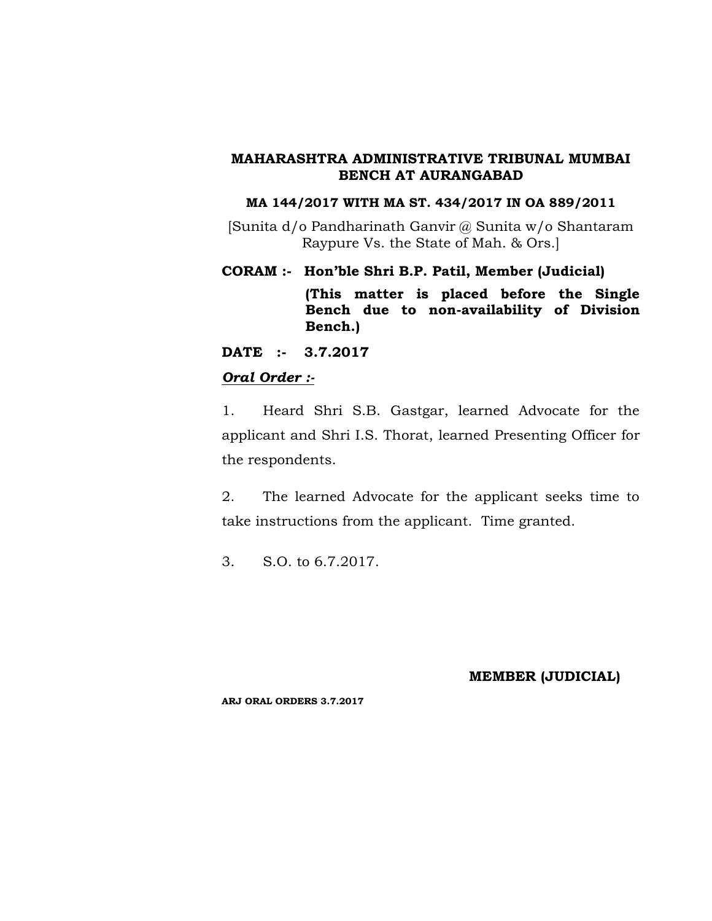## **MA 144/2017 WITH MA ST. 434/2017 IN OA 889/2011**

[Sunita d/o Pandharinath Ganvir @ Sunita w/o Shantaram Raypure Vs. the State of Mah. & Ors.]

**CORAM :- Hon'ble Shri B.P. Patil, Member (Judicial)**

**(This matter is placed before the Single Bench due to non-availability of Division Bench.)**

**DATE :- 3.7.2017**

## *Oral Order :-*

1. Heard Shri S.B. Gastgar, learned Advocate for the applicant and Shri I.S. Thorat, learned Presenting Officer for the respondents.

2. The learned Advocate for the applicant seeks time to take instructions from the applicant. Time granted.

3. S.O. to 6.7.2017.

## **MEMBER (JUDICIAL)**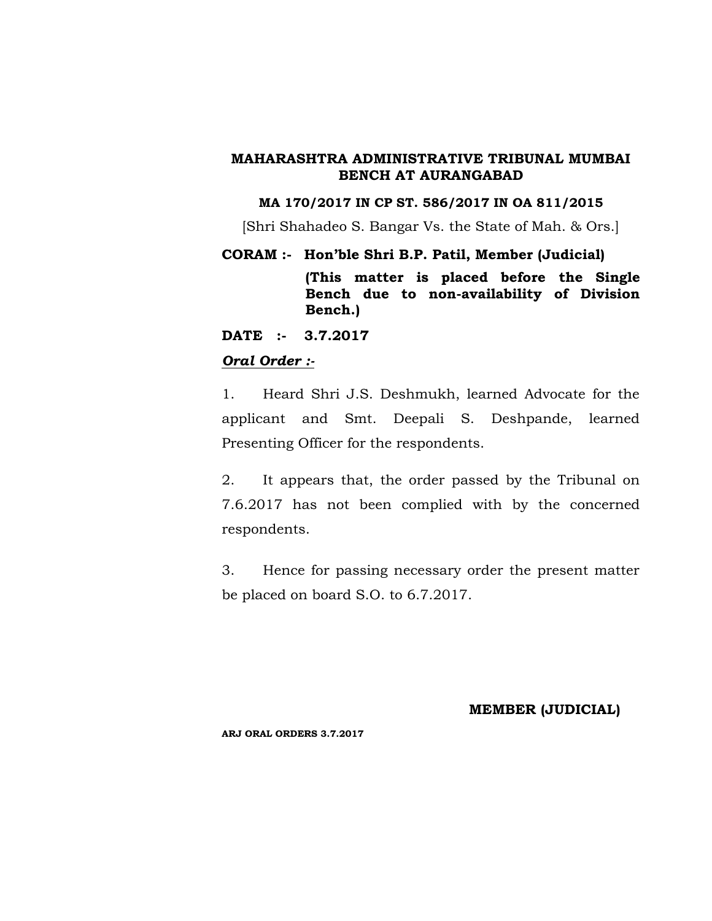### **MA 170/2017 IN CP ST. 586/2017 IN OA 811/2015**

[Shri Shahadeo S. Bangar Vs. the State of Mah. & Ors.]

#### **CORAM :- Hon'ble Shri B.P. Patil, Member (Judicial)**

**(This matter is placed before the Single Bench due to non-availability of Division Bench.)**

**DATE :- 3.7.2017**

## *Oral Order :-*

1. Heard Shri J.S. Deshmukh, learned Advocate for the applicant and Smt. Deepali S. Deshpande, learned Presenting Officer for the respondents.

2. It appears that, the order passed by the Tribunal on 7.6.2017 has not been complied with by the concerned respondents.

3. Hence for passing necessary order the present matter be placed on board S.O. to 6.7.2017.

#### **MEMBER (JUDICIAL)**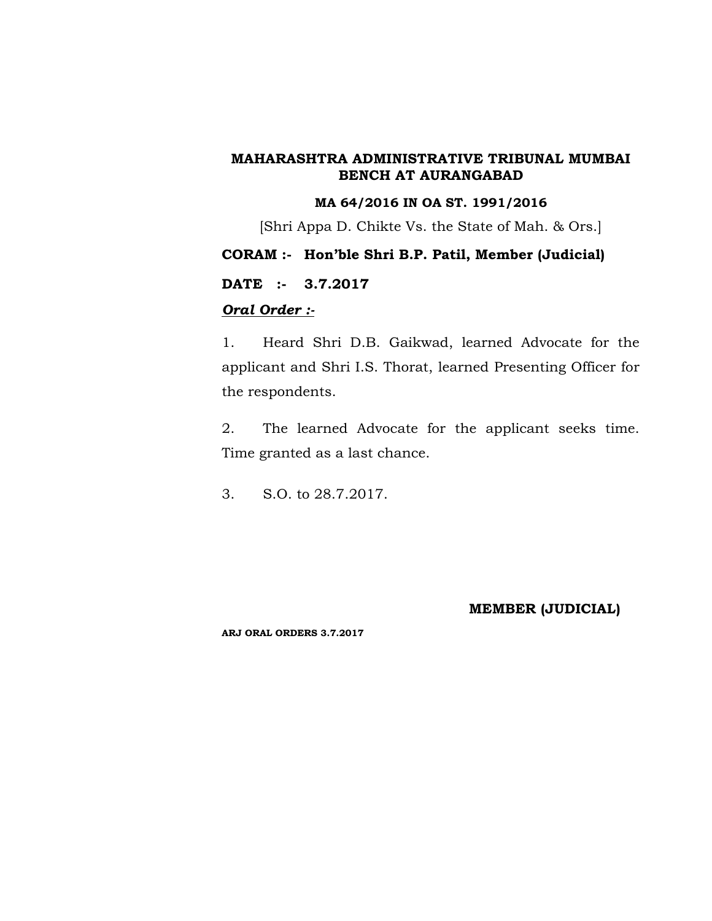## **MA 64/2016 IN OA ST. 1991/2016**

[Shri Appa D. Chikte Vs. the State of Mah. & Ors.]

## **CORAM :- Hon'ble Shri B.P. Patil, Member (Judicial)**

## **DATE :- 3.7.2017**

## *Oral Order :-*

1. Heard Shri D.B. Gaikwad, learned Advocate for the applicant and Shri I.S. Thorat, learned Presenting Officer for the respondents.

2. The learned Advocate for the applicant seeks time. Time granted as a last chance.

3. S.O. to 28.7.2017.

## **MEMBER (JUDICIAL)**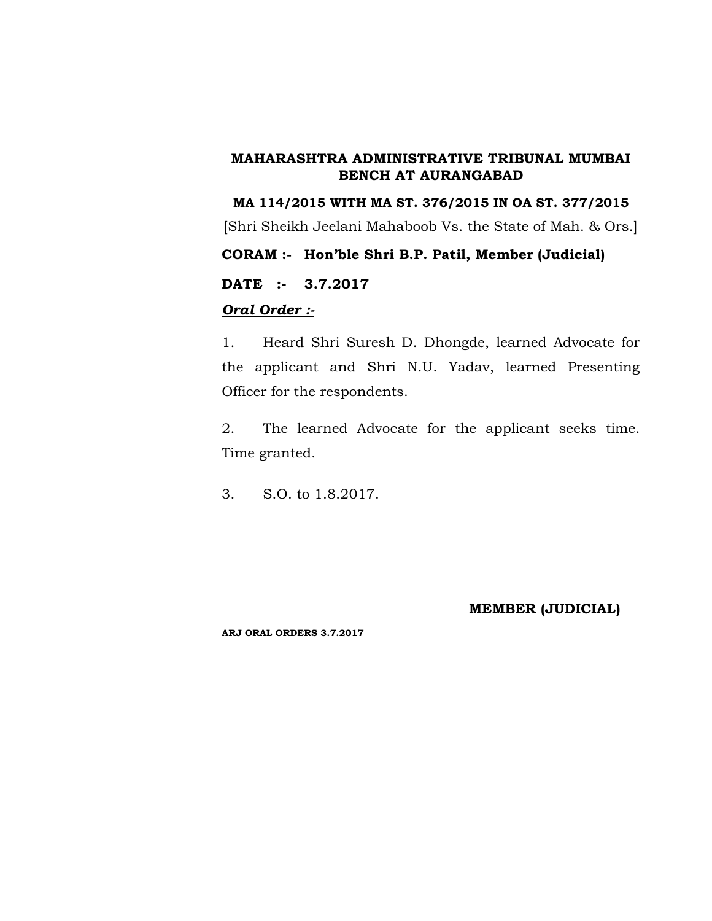**MA 114/2015 WITH MA ST. 376/2015 IN OA ST. 377/2015** [Shri Sheikh Jeelani Mahaboob Vs. the State of Mah. & Ors.] **CORAM :- Hon'ble Shri B.P. Patil, Member (Judicial) DATE :- 3.7.2017** *Oral Order :-*

1. Heard Shri Suresh D. Dhongde, learned Advocate for the applicant and Shri N.U. Yadav, learned Presenting Officer for the respondents.

2. The learned Advocate for the applicant seeks time. Time granted.

3. S.O. to 1.8.2017.

## **MEMBER (JUDICIAL)**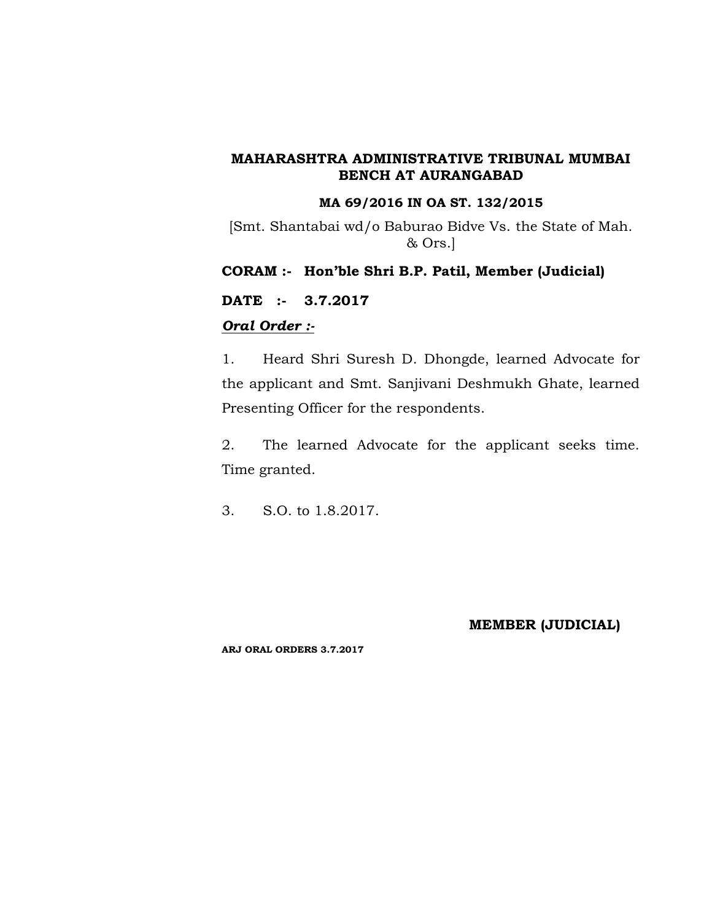#### **MA 69/2016 IN OA ST. 132/2015**

[Smt. Shantabai wd/o Baburao Bidve Vs. the State of Mah. & Ors.]

**CORAM :- Hon'ble Shri B.P. Patil, Member (Judicial)**

**DATE :- 3.7.2017**

## *Oral Order :-*

1. Heard Shri Suresh D. Dhongde, learned Advocate for the applicant and Smt. Sanjivani Deshmukh Ghate, learned Presenting Officer for the respondents.

2. The learned Advocate for the applicant seeks time. Time granted.

3. S.O. to 1.8.2017.

#### **MEMBER (JUDICIAL)**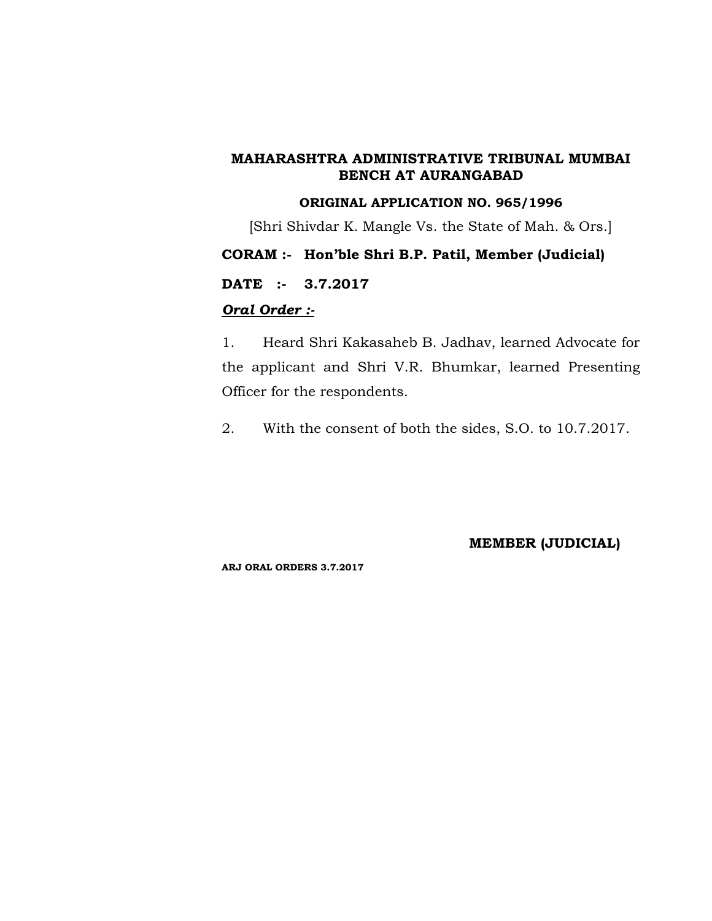## **ORIGINAL APPLICATION NO. 965/1996**

[Shri Shivdar K. Mangle Vs. the State of Mah. & Ors.]

## **CORAM :- Hon'ble Shri B.P. Patil, Member (Judicial)**

**DATE :- 3.7.2017**

## *Oral Order :-*

1. Heard Shri Kakasaheb B. Jadhav, learned Advocate for the applicant and Shri V.R. Bhumkar, learned Presenting Officer for the respondents.

2. With the consent of both the sides, S.O. to 10.7.2017.

**MEMBER (JUDICIAL)**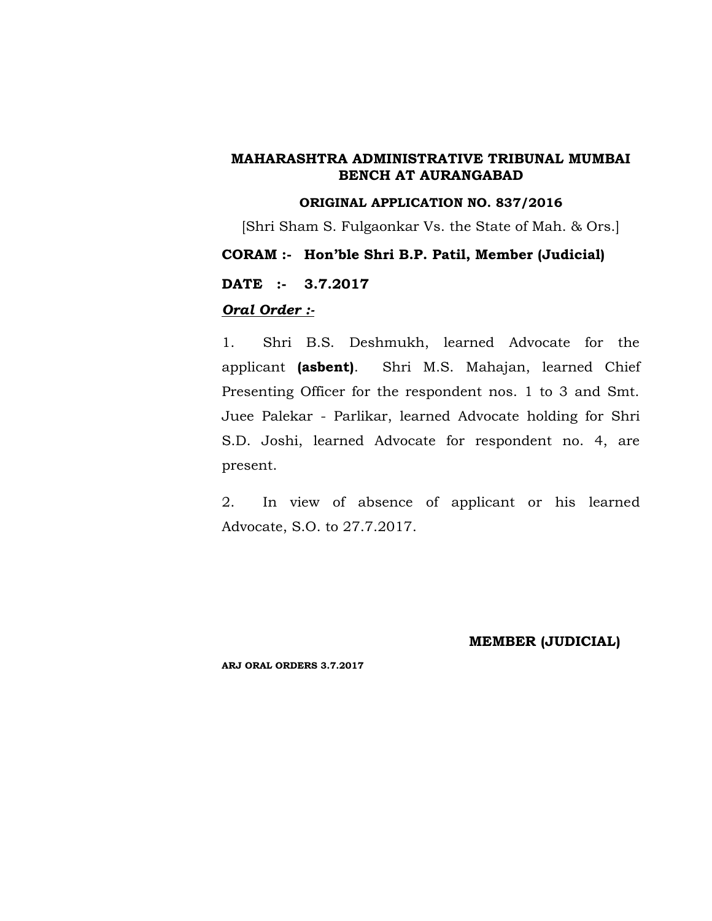### **ORIGINAL APPLICATION NO. 837/2016**

[Shri Sham S. Fulgaonkar Vs. the State of Mah. & Ors.]

## **CORAM :- Hon'ble Shri B.P. Patil, Member (Judicial)**

**DATE :- 3.7.2017**

## *Oral Order :-*

1. Shri B.S. Deshmukh, learned Advocate for the applicant **(asbent)**. Shri M.S. Mahajan, learned Chief Presenting Officer for the respondent nos. 1 to 3 and Smt. Juee Palekar - Parlikar, learned Advocate holding for Shri S.D. Joshi, learned Advocate for respondent no. 4, are present.

2. In view of absence of applicant or his learned Advocate, S.O. to 27.7.2017.

#### **MEMBER (JUDICIAL)**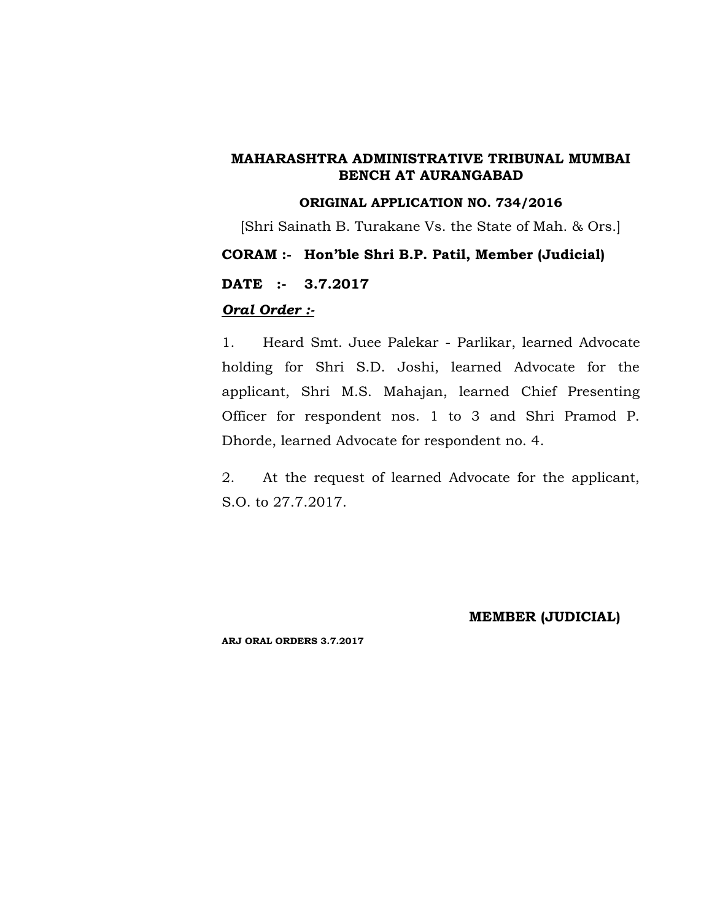#### **ORIGINAL APPLICATION NO. 734/2016**

[Shri Sainath B. Turakane Vs. the State of Mah. & Ors.]

## **CORAM :- Hon'ble Shri B.P. Patil, Member (Judicial)**

**DATE :- 3.7.2017**

## *Oral Order :-*

1. Heard Smt. Juee Palekar - Parlikar, learned Advocate holding for Shri S.D. Joshi, learned Advocate for the applicant, Shri M.S. Mahajan, learned Chief Presenting Officer for respondent nos. 1 to 3 and Shri Pramod P. Dhorde, learned Advocate for respondent no. 4.

2. At the request of learned Advocate for the applicant, S.O. to 27.7.2017.

## **MEMBER (JUDICIAL)**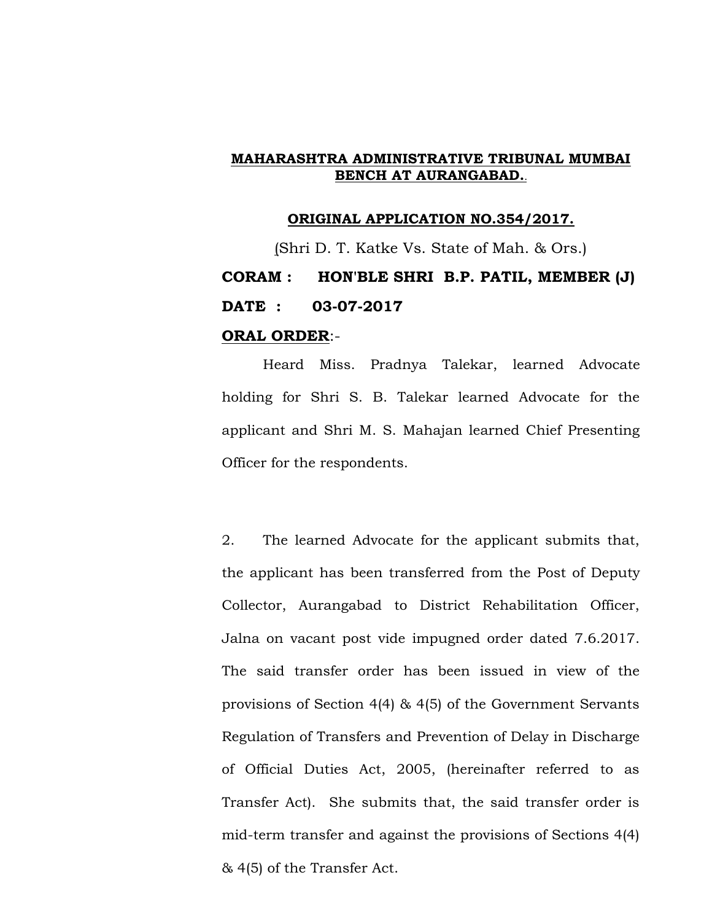#### **ORIGINAL APPLICATION NO.354/2017.**

(Shri D. T. Katke Vs. State of Mah. & Ors.) **CORAM : HON'BLE SHRI B.P. PATIL, MEMBER (J) DATE : 03-07-2017 ORAL ORDER**:-

Heard Miss. Pradnya Talekar, learned Advocate holding for Shri S. B. Talekar learned Advocate for the applicant and Shri M. S. Mahajan learned Chief Presenting Officer for the respondents.

2. The learned Advocate for the applicant submits that, the applicant has been transferred from the Post of Deputy Collector, Aurangabad to District Rehabilitation Officer, Jalna on vacant post vide impugned order dated 7.6.2017. The said transfer order has been issued in view of the provisions of Section 4(4) & 4(5) of the Government Servants Regulation of Transfers and Prevention of Delay in Discharge of Official Duties Act, 2005, (hereinafter referred to as Transfer Act). She submits that, the said transfer order is mid-term transfer and against the provisions of Sections 4(4) & 4(5) of the Transfer Act.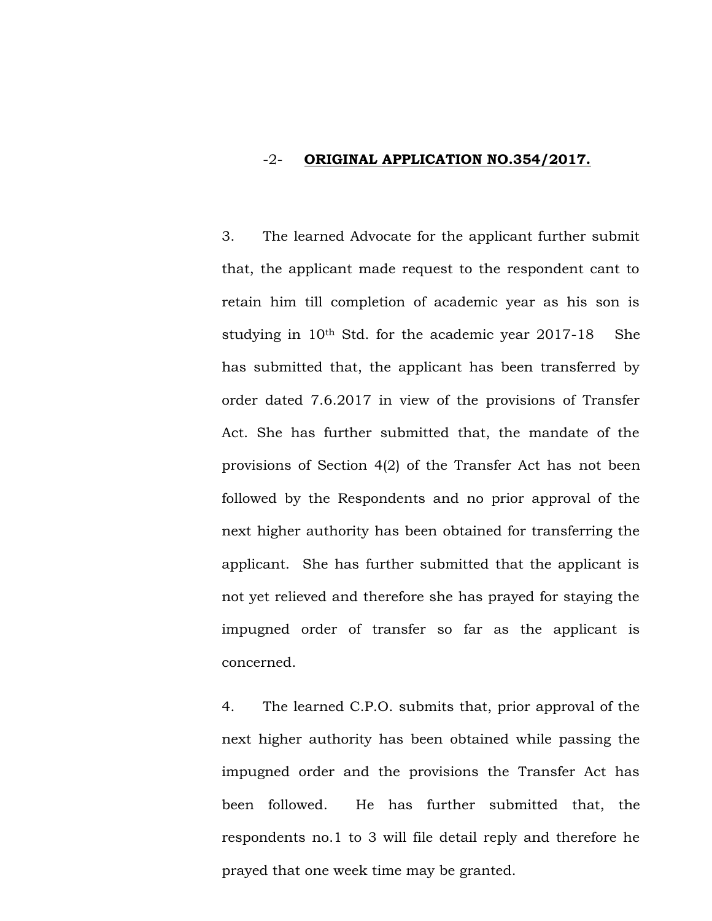## -2- **ORIGINAL APPLICATION NO.354/2017.**

3. The learned Advocate for the applicant further submit that, the applicant made request to the respondent cant to retain him till completion of academic year as his son is studying in 10<sup>th</sup> Std. for the academic year 2017-18 She has submitted that, the applicant has been transferred by order dated 7.6.2017 in view of the provisions of Transfer Act. She has further submitted that, the mandate of the provisions of Section 4(2) of the Transfer Act has not been followed by the Respondents and no prior approval of the next higher authority has been obtained for transferring the applicant. She has further submitted that the applicant is not yet relieved and therefore she has prayed for staying the impugned order of transfer so far as the applicant is concerned.

4. The learned C.P.O. submits that, prior approval of the next higher authority has been obtained while passing the impugned order and the provisions the Transfer Act has been followed. He has further submitted that, the respondents no.1 to 3 will file detail reply and therefore he prayed that one week time may be granted.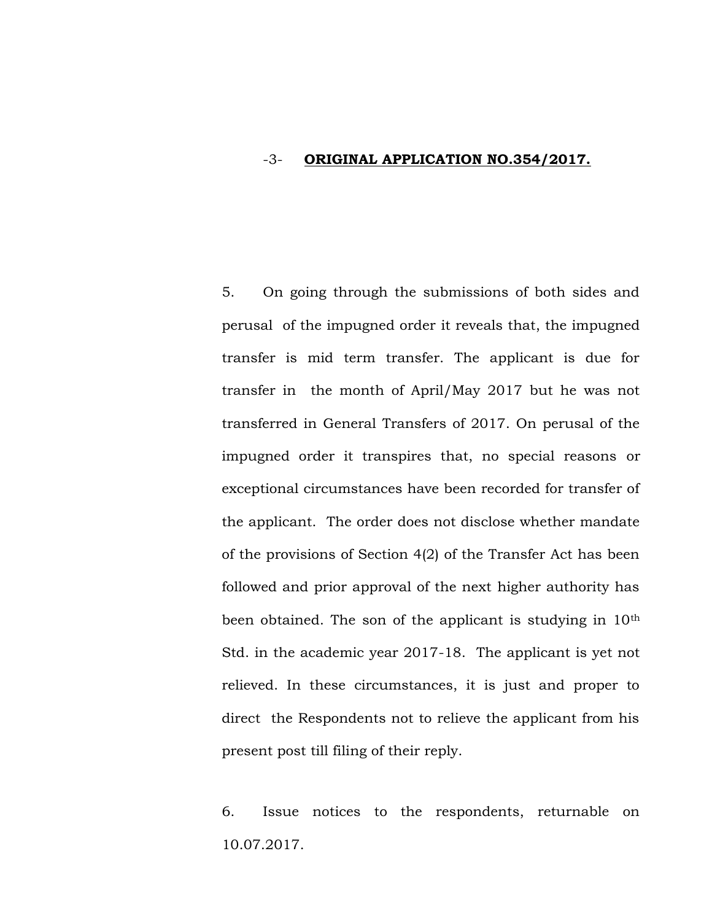## -3- **ORIGINAL APPLICATION NO.354/2017.**

5. On going through the submissions of both sides and perusal of the impugned order it reveals that, the impugned transfer is mid term transfer. The applicant is due for transfer in the month of April/May 2017 but he was not transferred in General Transfers of 2017. On perusal of the impugned order it transpires that, no special reasons or exceptional circumstances have been recorded for transfer of the applicant. The order does not disclose whether mandate of the provisions of Section 4(2) of the Transfer Act has been followed and prior approval of the next higher authority has been obtained. The son of the applicant is studying in 10<sup>th</sup> Std. in the academic year 2017-18. The applicant is yet not relieved. In these circumstances, it is just and proper to direct the Respondents not to relieve the applicant from his present post till filing of their reply.

6. Issue notices to the respondents, returnable on 10.07.2017.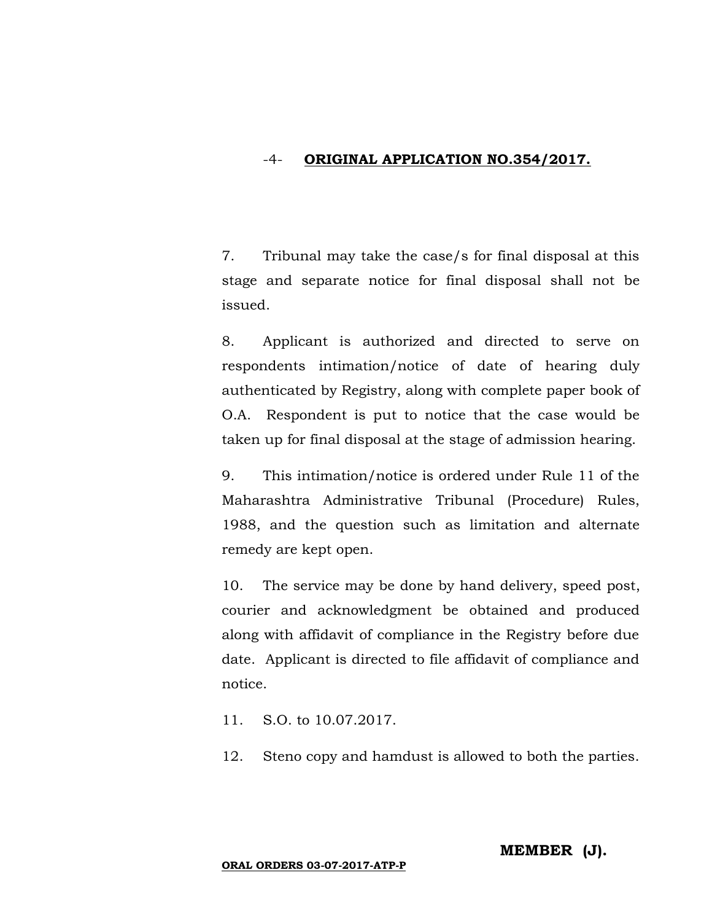## -4- **ORIGINAL APPLICATION NO.354/2017.**

7. Tribunal may take the case/s for final disposal at this stage and separate notice for final disposal shall not be issued.

8. Applicant is authorized and directed to serve on respondents intimation/notice of date of hearing duly authenticated by Registry, along with complete paper book of O.A. Respondent is put to notice that the case would be taken up for final disposal at the stage of admission hearing.

9. This intimation/notice is ordered under Rule 11 of the Maharashtra Administrative Tribunal (Procedure) Rules, 1988, and the question such as limitation and alternate remedy are kept open.

10. The service may be done by hand delivery, speed post, courier and acknowledgment be obtained and produced along with affidavit of compliance in the Registry before due date. Applicant is directed to file affidavit of compliance and notice.

- 11. S.O. to 10.07.2017.
- 12. Steno copy and hamdust is allowed to both the parties.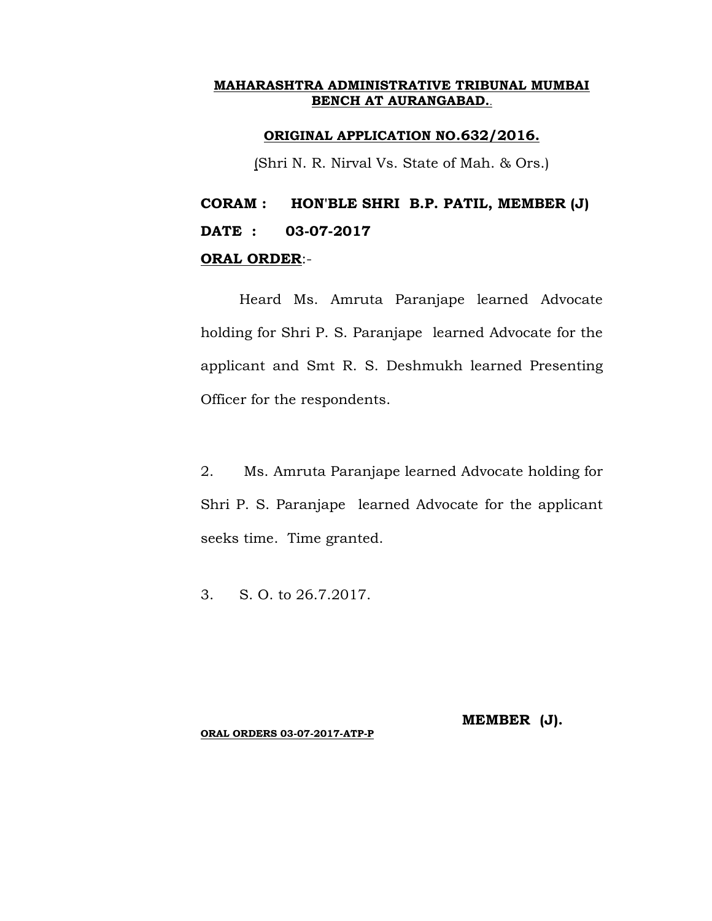## **ORIGINAL APPLICATION NO.632/2016.**

(Shri N. R. Nirval Vs. State of Mah. & Ors.)

# **CORAM : HON'BLE SHRI B.P. PATIL, MEMBER (J) DATE : 03-07-2017 ORAL ORDER**:-

Heard Ms. Amruta Paranjape learned Advocate holding for Shri P. S. Paranjape learned Advocate for the applicant and Smt R. S. Deshmukh learned Presenting Officer for the respondents.

2. Ms. Amruta Paranjape learned Advocate holding for Shri P. S. Paranjape learned Advocate for the applicant seeks time. Time granted.

3. S. O. to 26.7.2017.

**MEMBER (J).**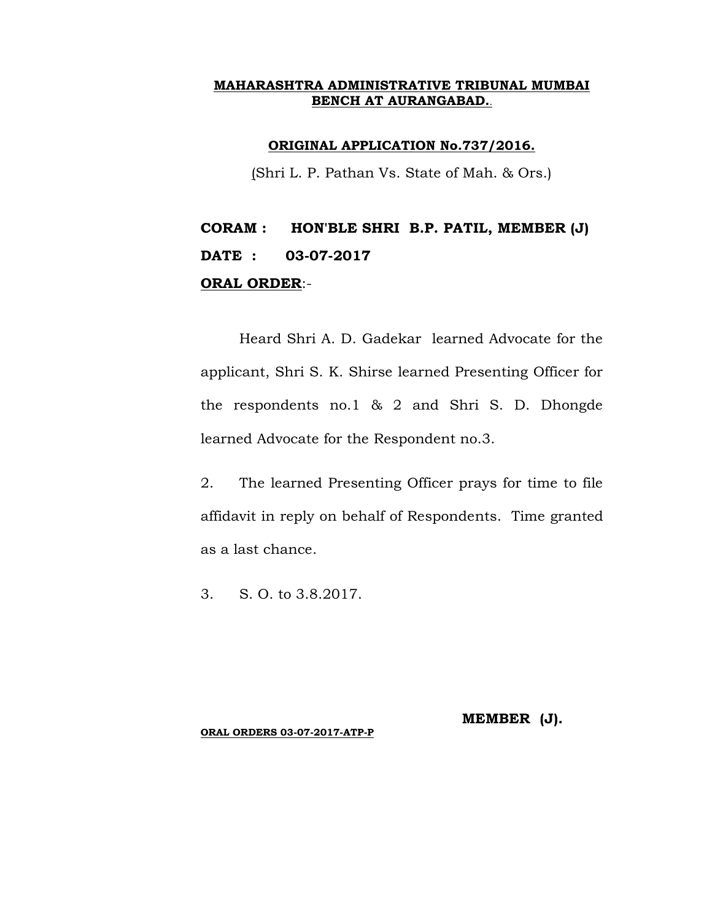#### **ORIGINAL APPLICATION No.737/2016.**

(Shri L. P. Pathan Vs. State of Mah. & Ors.)

# **CORAM : HON'BLE SHRI B.P. PATIL, MEMBER (J) DATE : 03-07-2017 ORAL ORDER**:-

Heard Shri A. D. Gadekar learned Advocate for the applicant, Shri S. K. Shirse learned Presenting Officer for the respondents no.1 & 2 and Shri S. D. Dhongde learned Advocate for the Respondent no.3.

2. The learned Presenting Officer prays for time to file affidavit in reply on behalf of Respondents. Time granted as a last chance.

3. S. O. to 3.8.2017.

**MEMBER (J).**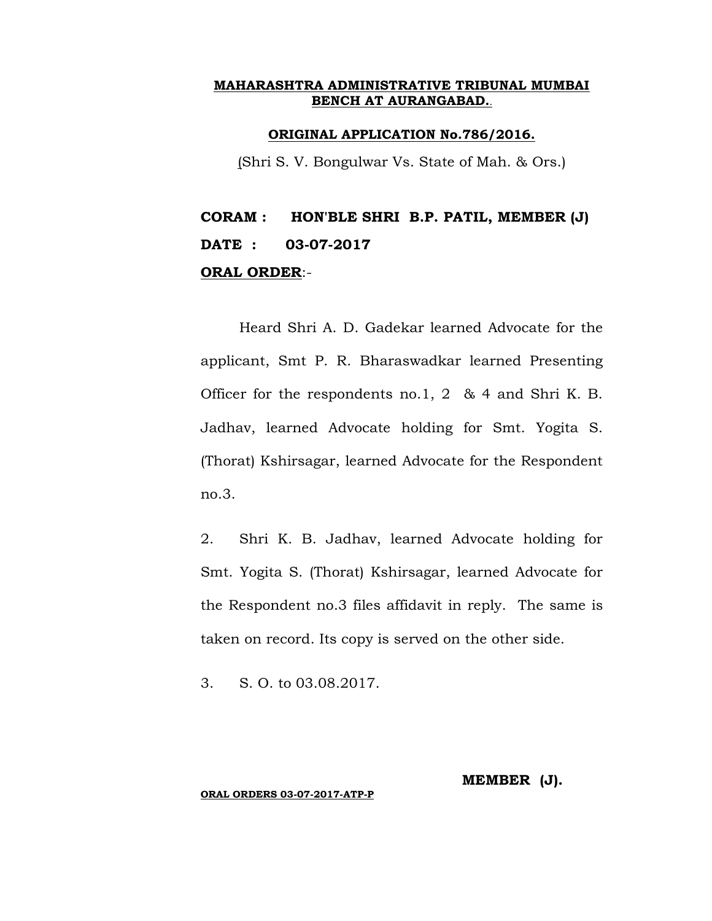#### **ORIGINAL APPLICATION No.786/2016.**

(Shri S. V. Bongulwar Vs. State of Mah. & Ors.)

# **CORAM : HON'BLE SHRI B.P. PATIL, MEMBER (J) DATE : 03-07-2017 ORAL ORDER**:-

Heard Shri A. D. Gadekar learned Advocate for the applicant, Smt P. R. Bharaswadkar learned Presenting Officer for the respondents no.1, 2 & 4 and Shri K. B. Jadhav, learned Advocate holding for Smt. Yogita S. (Thorat) Kshirsagar, learned Advocate for the Respondent no.3.

2. Shri K. B. Jadhav, learned Advocate holding for Smt. Yogita S. (Thorat) Kshirsagar, learned Advocate for the Respondent no.3 files affidavit in reply. The same is taken on record. Its copy is served on the other side.

3. S. O. to 03.08.2017.

## **MEMBER (J).**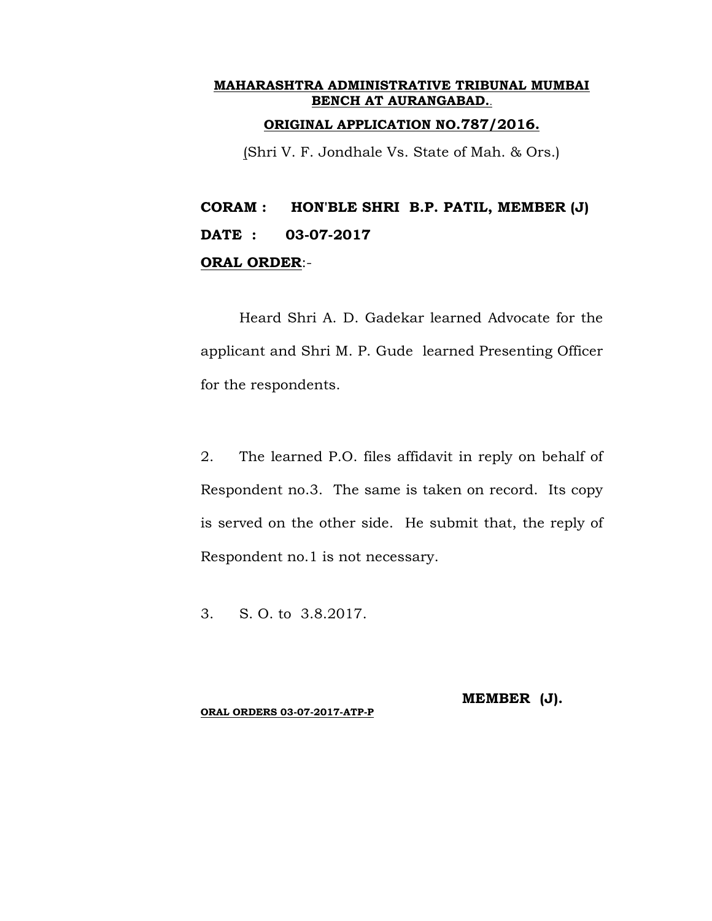## **ORIGINAL APPLICATION NO.787/2016.**

(Shri V. F. Jondhale Vs. State of Mah. & Ors.)

**CORAM : HON'BLE SHRI B.P. PATIL, MEMBER (J) DATE : 03-07-2017 ORAL ORDER**:-

Heard Shri A. D. Gadekar learned Advocate for the applicant and Shri M. P. Gude learned Presenting Officer for the respondents.

2. The learned P.O. files affidavit in reply on behalf of Respondent no.3. The same is taken on record. Its copy is served on the other side. He submit that, the reply of Respondent no.1 is not necessary.

3. S. O. to 3.8.2017.

**ORAL ORDERS 03-07-2017-ATP-P**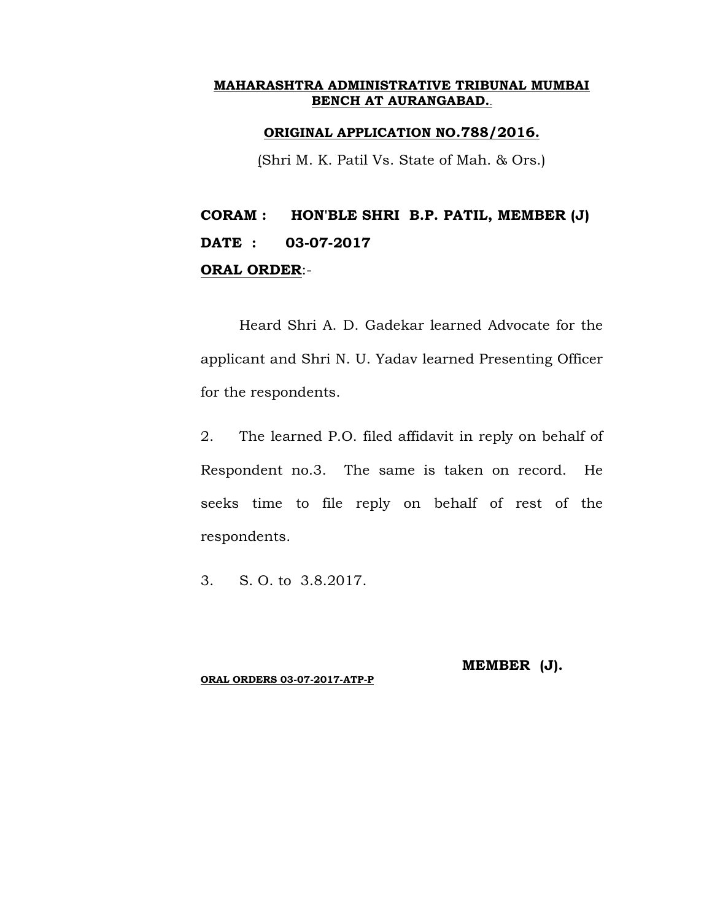### **ORIGINAL APPLICATION NO.788/2016.**

(Shri M. K. Patil Vs. State of Mah. & Ors.)

## **CORAM : HON'BLE SHRI B.P. PATIL, MEMBER (J) DATE : 03-07-2017 ORAL ORDER**:-

Heard Shri A. D. Gadekar learned Advocate for the applicant and Shri N. U. Yadav learned Presenting Officer for the respondents.

2. The learned P.O. filed affidavit in reply on behalf of Respondent no.3. The same is taken on record. He seeks time to file reply on behalf of rest of the respondents.

3. S. O. to 3.8.2017.

#### **ORAL ORDERS 03-07-2017-ATP-P**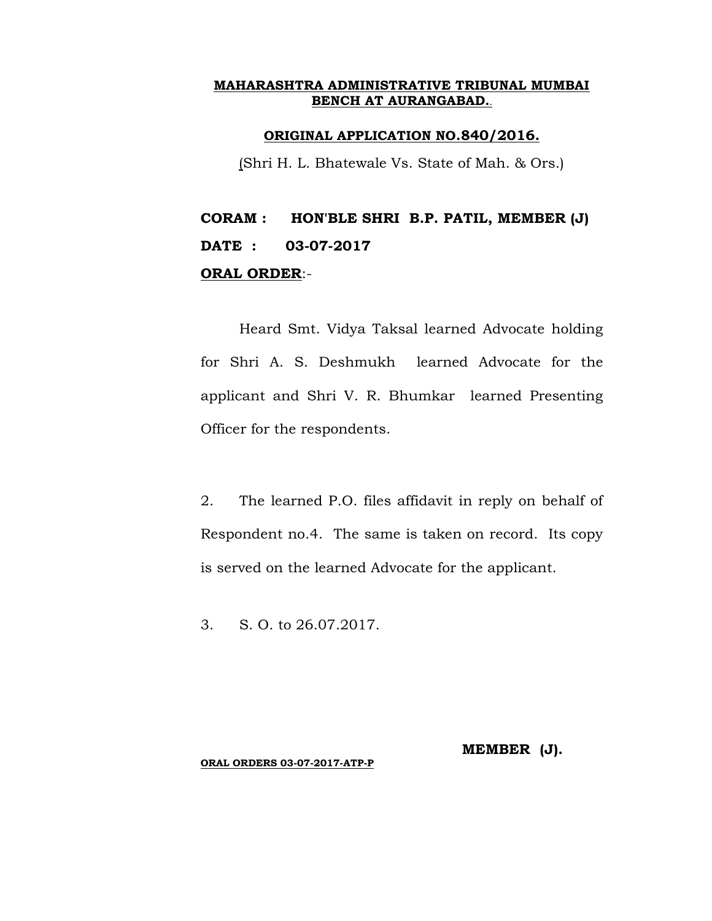## **ORIGINAL APPLICATION NO.840/2016.**

(Shri H. L. Bhatewale Vs. State of Mah. & Ors.)

# **CORAM : HON'BLE SHRI B.P. PATIL, MEMBER (J) DATE : 03-07-2017 ORAL ORDER**:-

Heard Smt. Vidya Taksal learned Advocate holding for Shri A. S. Deshmukh learned Advocate for the applicant and Shri V. R. Bhumkar learned Presenting Officer for the respondents.

2. The learned P.O. files affidavit in reply on behalf of Respondent no.4. The same is taken on record. Its copy is served on the learned Advocate for the applicant.

3. S. O. to 26.07.2017.

## **MEMBER (J).**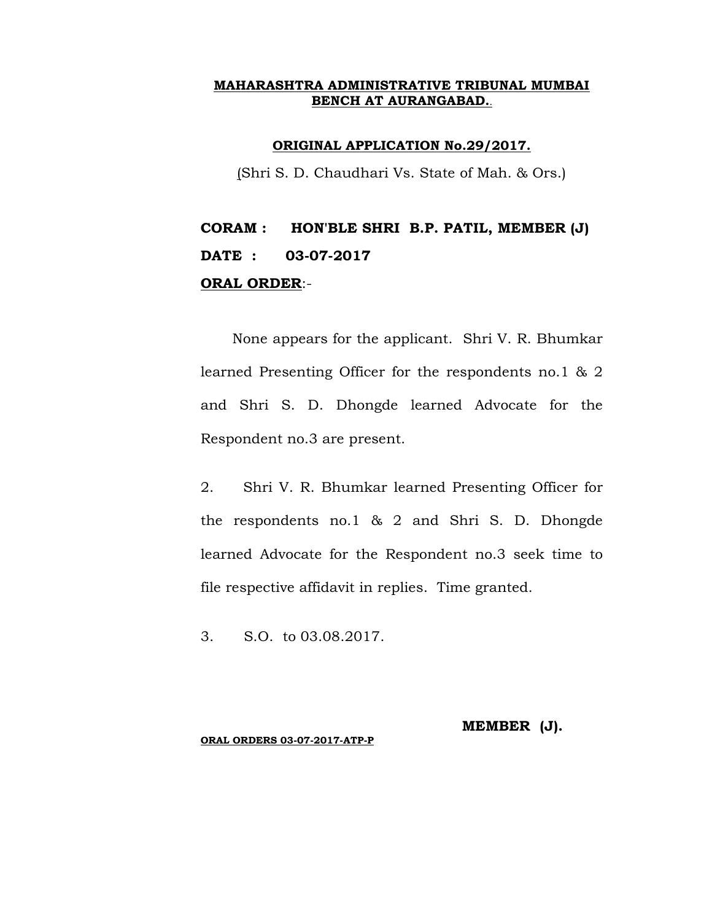#### **ORIGINAL APPLICATION No.29/2017.**

(Shri S. D. Chaudhari Vs. State of Mah. & Ors.)

# **CORAM : HON'BLE SHRI B.P. PATIL, MEMBER (J) DATE : 03-07-2017 ORAL ORDER**:-

None appears for the applicant. Shri V. R. Bhumkar learned Presenting Officer for the respondents no.1 & 2 and Shri S. D. Dhongde learned Advocate for the Respondent no.3 are present.

2. Shri V. R. Bhumkar learned Presenting Officer for the respondents no.1 & 2 and Shri S. D. Dhongde learned Advocate for the Respondent no.3 seek time to file respective affidavit in replies. Time granted.

3. S.O. to 03.08.2017.

#### **MEMBER (J).**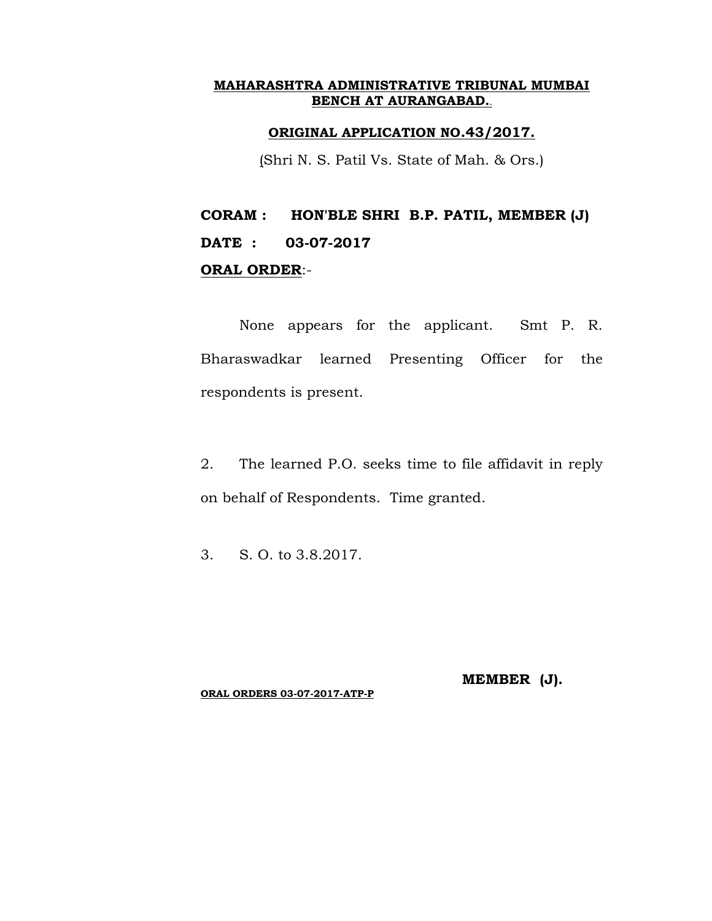## **ORIGINAL APPLICATION NO.43/2017.**

(Shri N. S. Patil Vs. State of Mah. & Ors.)

# **CORAM : HON'BLE SHRI B.P. PATIL, MEMBER (J) DATE : 03-07-2017 ORAL ORDER**:-

None appears for the applicant. Smt P. R. Bharaswadkar learned Presenting Officer for the respondents is present.

2. The learned P.O. seeks time to file affidavit in reply on behalf of Respondents. Time granted.

3. S. O. to 3.8.2017.

**ORAL ORDERS 03-07-2017-ATP-P**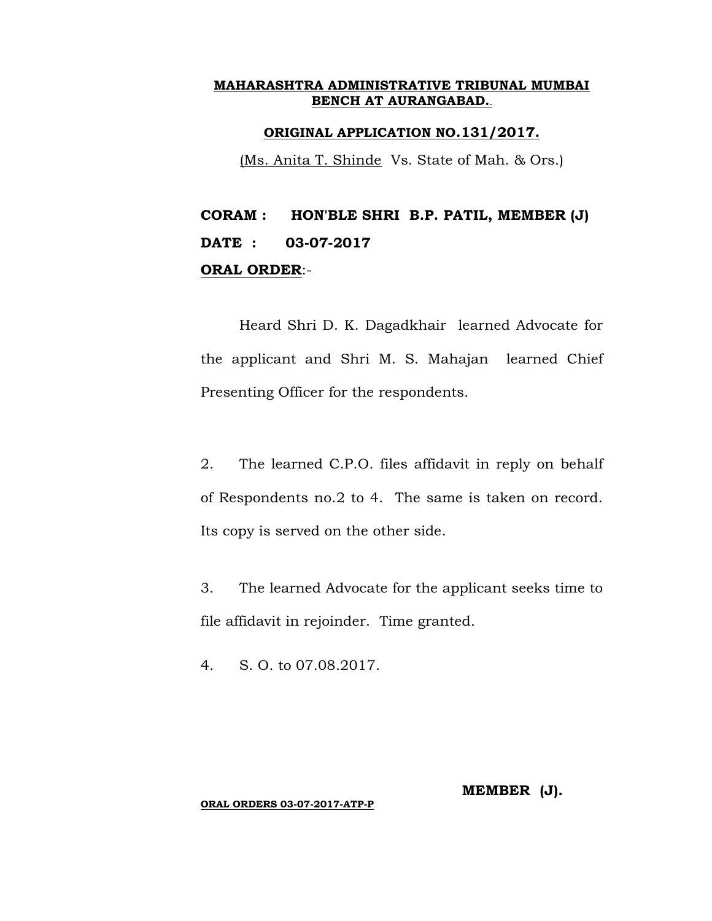## **ORIGINAL APPLICATION NO.131/2017.**

(Ms. Anita T. Shinde Vs. State of Mah. & Ors.)

# **CORAM : HON'BLE SHRI B.P. PATIL, MEMBER (J) DATE : 03-07-2017 ORAL ORDER**:-

Heard Shri D. K. Dagadkhair learned Advocate for the applicant and Shri M. S. Mahajan learned Chief Presenting Officer for the respondents.

2. The learned C.P.O. files affidavit in reply on behalf of Respondents no.2 to 4. The same is taken on record. Its copy is served on the other side.

3. The learned Advocate for the applicant seeks time to file affidavit in rejoinder. Time granted.

4. S. O. to 07.08.2017.

**MEMBER (J).**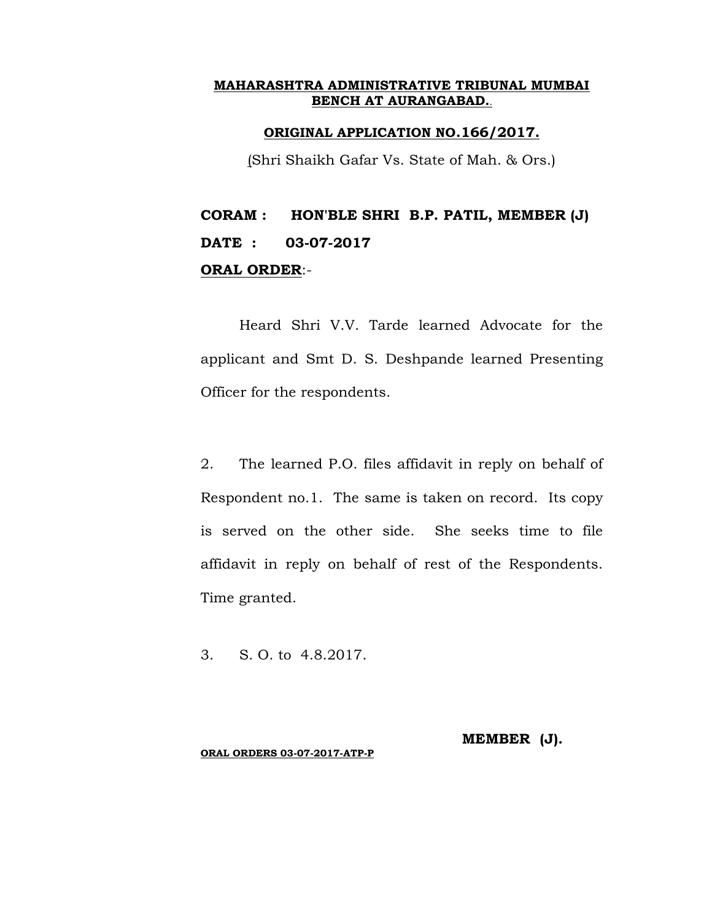## **ORIGINAL APPLICATION NO.166/2017.**

(Shri Shaikh Gafar Vs. State of Mah. & Ors.)

# **CORAM : HON'BLE SHRI B.P. PATIL, MEMBER (J) DATE : 03-07-2017 ORAL ORDER**:-

Heard Shri V.V. Tarde learned Advocate for the applicant and Smt D. S. Deshpande learned Presenting Officer for the respondents.

2. The learned P.O. files affidavit in reply on behalf of Respondent no.1. The same is taken on record. Its copy is served on the other side. She seeks time to file affidavit in reply on behalf of rest of the Respondents. Time granted.

3. S. O. to 4.8.2017.

**MEMBER (J).**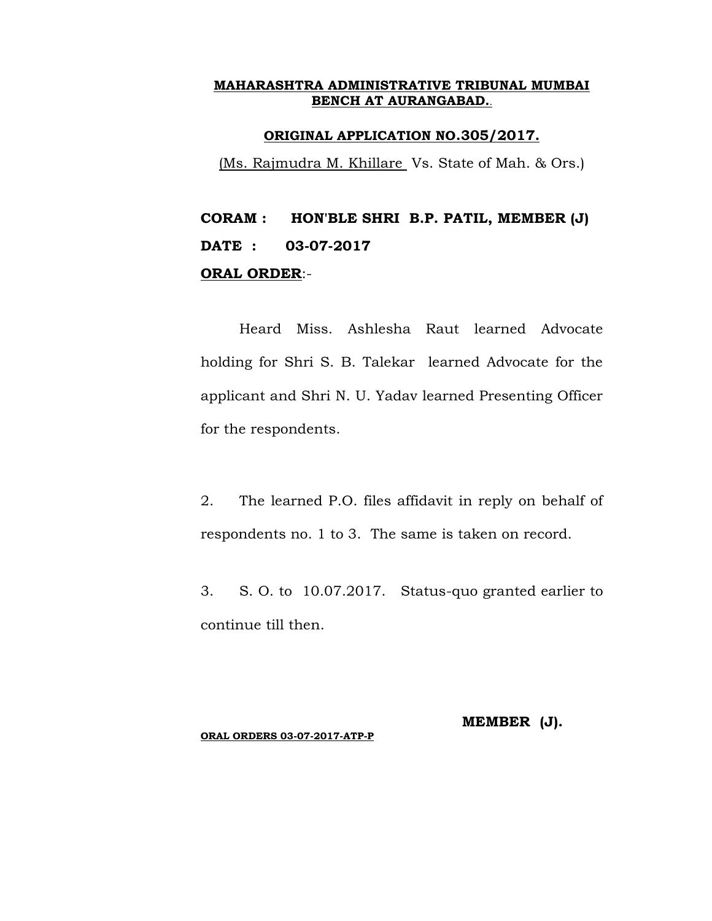## **ORIGINAL APPLICATION NO.305/2017.**

(Ms. Rajmudra M. Khillare Vs. State of Mah. & Ors.)

# **CORAM : HON'BLE SHRI B.P. PATIL, MEMBER (J) DATE : 03-07-2017 ORAL ORDER**:-

Heard Miss. Ashlesha Raut learned Advocate holding for Shri S. B. Talekar learned Advocate for the applicant and Shri N. U. Yadav learned Presenting Officer for the respondents.

2. The learned P.O. files affidavit in reply on behalf of respondents no. 1 to 3. The same is taken on record.

3. S. O. to 10.07.2017. Status-quo granted earlier to continue till then.

**MEMBER (J).**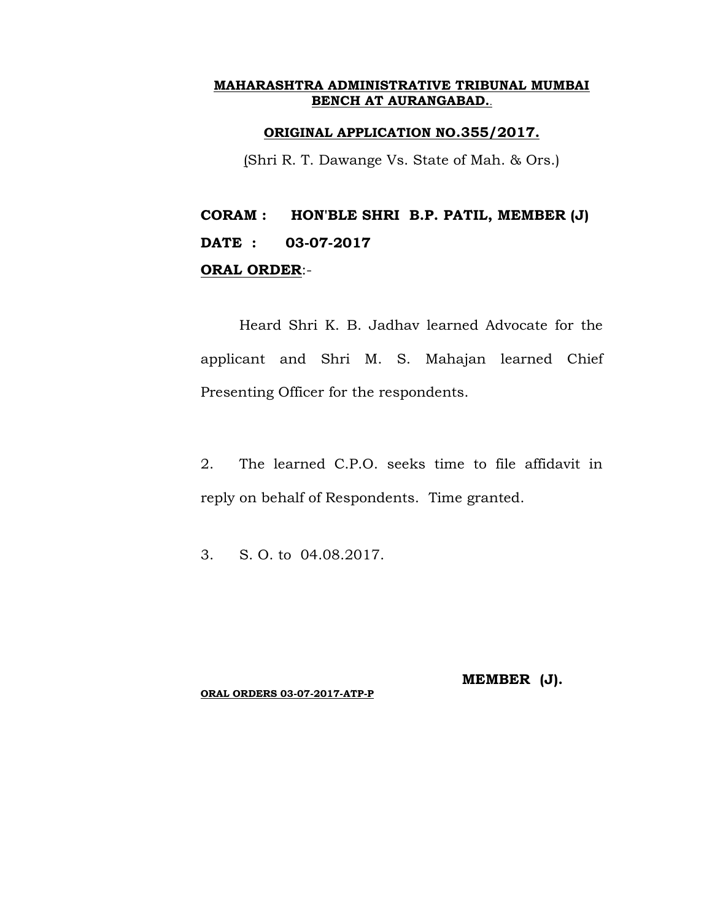### **ORIGINAL APPLICATION NO.355/2017.**

(Shri R. T. Dawange Vs. State of Mah. & Ors.)

## **CORAM : HON'BLE SHRI B.P. PATIL, MEMBER (J) DATE : 03-07-2017 ORAL ORDER**:-

Heard Shri K. B. Jadhav learned Advocate for the applicant and Shri M. S. Mahajan learned Chief Presenting Officer for the respondents.

2. The learned C.P.O. seeks time to file affidavit in reply on behalf of Respondents. Time granted.

3. S. O. to 04.08.2017.

**ORAL ORDERS 03-07-2017-ATP-P**